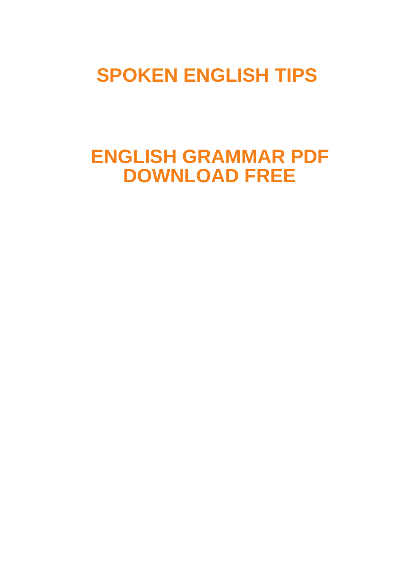**[SPOKEN ENGLISH TIPS](https://spokenenglishtips.com/)**

# **ENGLISH GRAMMAR PDF DOWNLOAD FREE**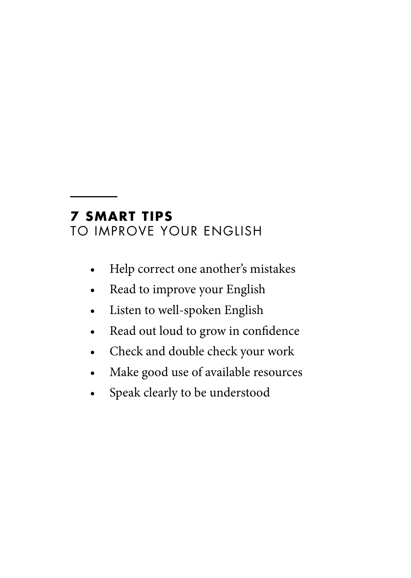# **7 SMART TIPS**

TO IMPROVE YOUR ENGLISH

- Help correct one another's mistakes
- Read to improve your English
- Listen to well-spoken English
- Read out loud to grow in confidence
- Check and double check your work
- Make good use of available resources
- Speak clearly to be understood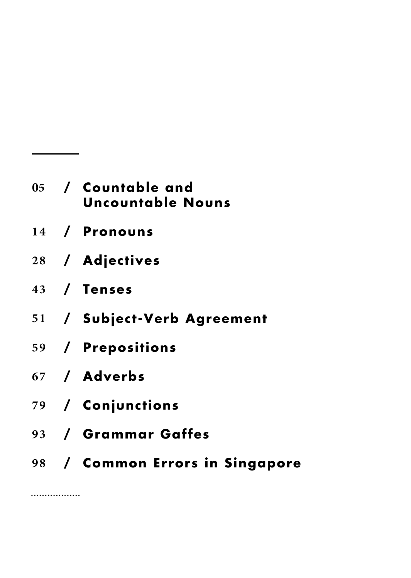|  | 05  / Countable and<br><b>Uncountable Nouns</b> |
|--|-------------------------------------------------|
|  | 14 / Pronouns                                   |
|  | 28 / Adjectives                                 |
|  | 43 / Tenses                                     |
|  | 51 / Subject-Verb Agreement                     |
|  | 59 / Prepositions                               |
|  | 67 / Adverbs                                    |
|  |                                                 |

**/ Conjunctions 79**

...............

- **/ Grammar Gaffes 93**
- **/ Common Errors in Singapore 98**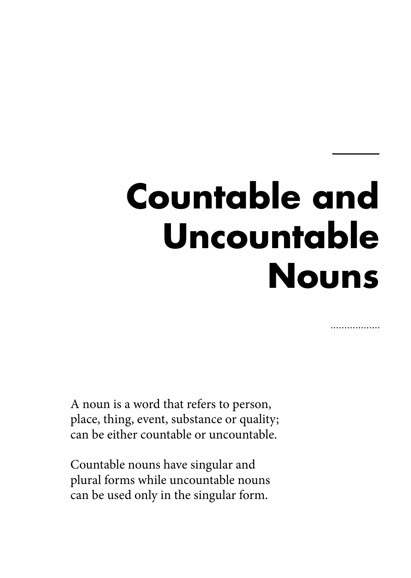# **Countable and Uncountable Nouns**

. . . . . . . . . . . . . . .

A noun is a word that refers to person, place, thing, event, substance or quality; can be either countable or uncountable.

Countable nouns have singular and plural forms while uncountable nouns can be used only in the singular form.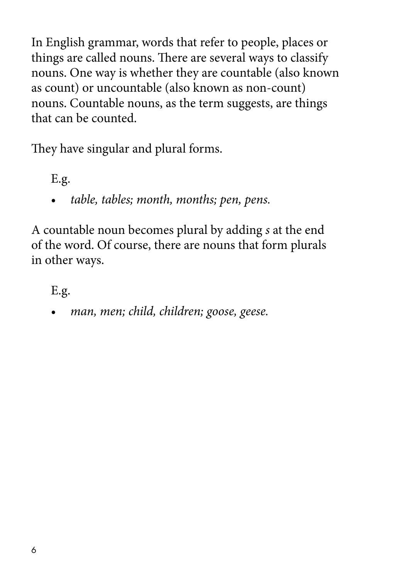In English grammar, words that refer to people, places or things are called nouns. There are several ways to classify nouns. One way is whether they are countable (also known as count) or uncountable (also known as non-count) nouns. Countable nouns, as the term suggests, are things that can be counted.

They have singular and plural forms.

E.g.

• *table, tables; month, months; pen, pens.*

A countable noun becomes plural by adding *s* at the end of the word. Of course, there are nouns that form plurals in other ways.

E.g.

• *man, men; child, children; goose, geese.*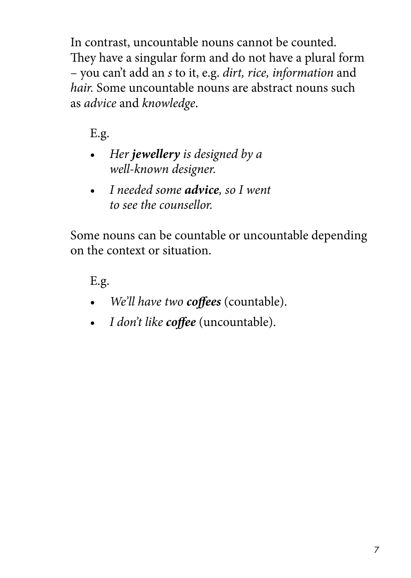In contrast, uncountable nouns cannot be counted. They have a singular form and do not have a plural form – you can't add an *s* to it, e.g. *dirt, rice, information* and *hair.* Some uncountable nouns are abstract nouns such as *advice* and *knowledge*.

E.g.

- *Her jewellery is designed by a well-known designer.*
- *I needed some advice, so I went to see the counsellor.*

Some nouns can be countable or uncountable depending on the context or situation.

- *We'll have two coffees* (countable).
- *I don't like coffee* (uncountable).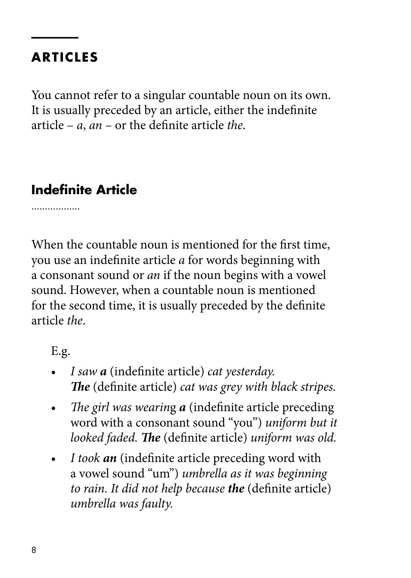## **ARTICLES**

You cannot refer to a singular countable noun on its own. It is usually preceded by an article, either the indefinite article – *a*, *an* – or the definite article *the*.

#### **Indefinite Article**

. . . . . . . . . . . . . . . . .

When the countable noun is mentioned for the first time, you use an indefinite article *a* for words beginning with a consonant sound or *an* if the noun begins with a vowel sound. However, when a countable noun is mentioned for the second time, it is usually preceded by the definite article *the*.

- *I saw a* (indefinite article) *cat yesterday. The* (definite article) *cat was grey with black stripes.*
- *The girl was wearin*g *a* (indefinite article preceding word with a consonant sound "you") *uniform but it looked faded. The* (definite article) *uniform was old.*
- *I took an* (indefinite article preceding word with a vowel sound "um") *umbrella as it was beginning to rain. It did not help because the* (definite article) *umbrella was faulty.*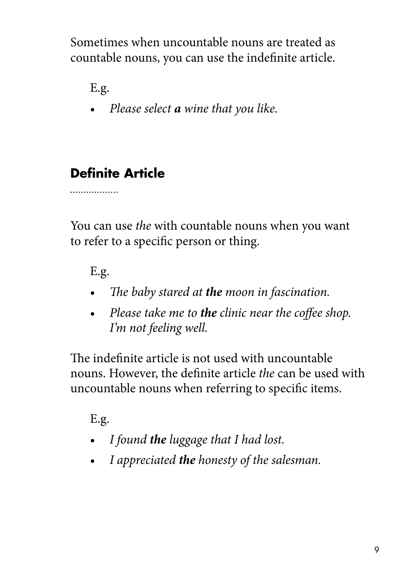Sometimes when uncountable nouns are treated as countable nouns, you can use the indefinite article.

E.g.

• *Please select a wine that you like.*

# **Definite Article**

. . . . . . . . . . . . . . . . .

You can use *the* with countable nouns when you want to refer to a specific person or thing.

E.g.

- *The baby stared at the moon in fascination.*
- *Please take me to the clinic near the coffee shop. I'm not feeling well.*

The indefinite article is not used with uncountable nouns. However, the definite article *the* can be used with uncountable nouns when referring to specific items.

- *I found the luggage that I had lost.*
- *I appreciated the honesty of the salesman.*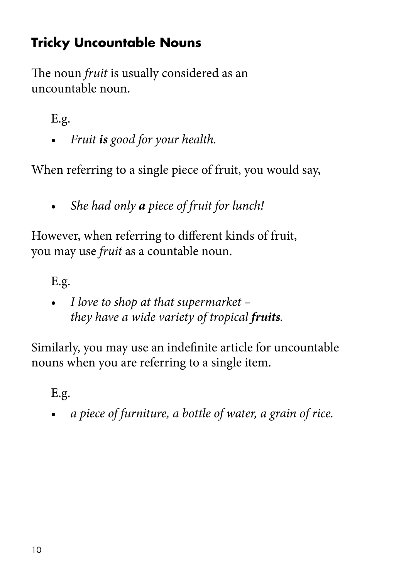# **Tricky Uncountable Nouns**

The noun *fruit* is usually considered as an uncountable noun.

E.g.

• *Fruit is good for your health.*

When referring to a single piece of fruit, you would say,

• *She had only a piece of fruit for lunch!*

However, when referring to different kinds of fruit, you may use *fruit* as a countable noun.

E.g.

• *I love to shop at that supermarket – they have a wide variety of tropical fruits.*

Similarly, you may use an indefinite article for uncountable nouns when you are referring to a single item.

E.g.

• *a piece of furniture, a bottle of water, a grain of rice.*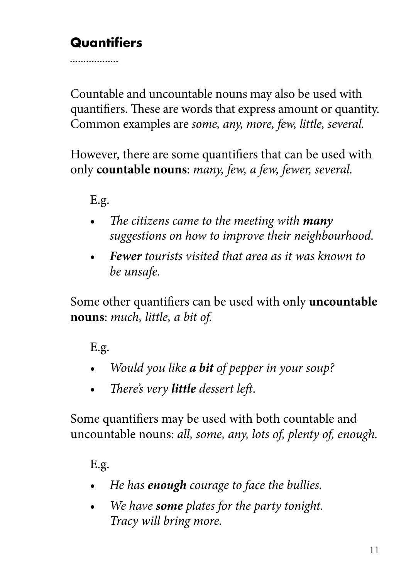# **Quantifiers**

. . . . . . . . . . . . . . . . .

Countable and uncountable nouns may also be used with quantifiers. These are words that express amount or quantity. Common examples are *some, any, more, few, little, several.*

However, there are some quantifiers that can be used with only **countable nouns**: *many, few, a few, fewer, several.*

#### E.g.

- *The citizens came to the meeting with many suggestions on how to improve their neighbourhood.*
- *Fewer tourists visited that area as it was known to be unsafe.*

Some other quantifiers can be used with only **uncountable nouns**: *much, little, a bit of.*

E.g.

- *Would you like a bit of pepper in your soup?*
- *There's very little dessert left*.

Some quantifiers may be used with both countable and uncountable nouns: *all, some, any, lots of, plenty of, enough.*

- *He has enough courage to face the bullies.*
- *We have some plates for the party tonight. Tracy will bring more.*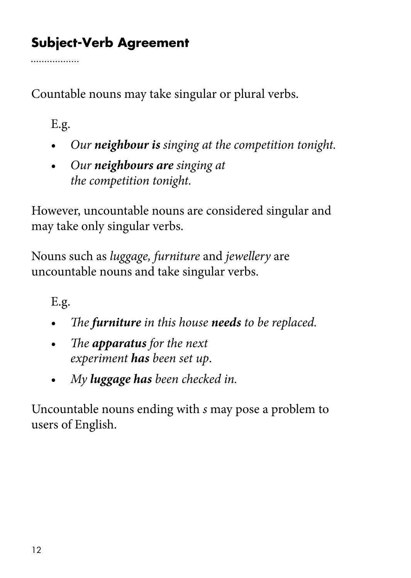# **Subject-Verb Agreement**

Countable nouns may take singular or plural verbs.

E.g.

. . . . . . . . . . . . . . . . .

- *Our neighbour is singing at the competition tonight.*
- *Our neighbours are singing at the competition tonight.*

However, uncountable nouns are considered singular and may take only singular verbs.

Nouns such as *luggage, furniture* and *jewellery* are uncountable nouns and take singular verbs.

E.g.

- *The furniture in this house needs to be replaced.*
- *The apparatus for the next experiment has been set up*.
- *My luggage has been checked in.*

Uncountable nouns ending with *s* may pose a problem to users of English.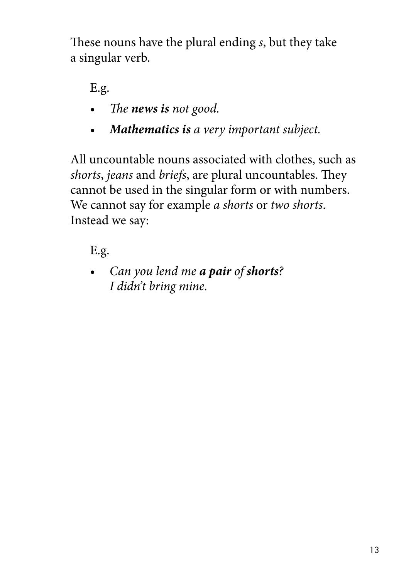These nouns have the plural ending *s*, but they take a singular verb.

E.g.

- *The news is not good.*
- *Mathematics is a very important subject.*

All uncountable nouns associated with clothes, such as *shorts*, *jeans* and *briefs*, are plural uncountables. They cannot be used in the singular form or with numbers. We cannot say for example *a shorts* or *two shorts*. Instead we say:

E.g.

• *Can you lend me a pair of shorts? I didn't bring mine.*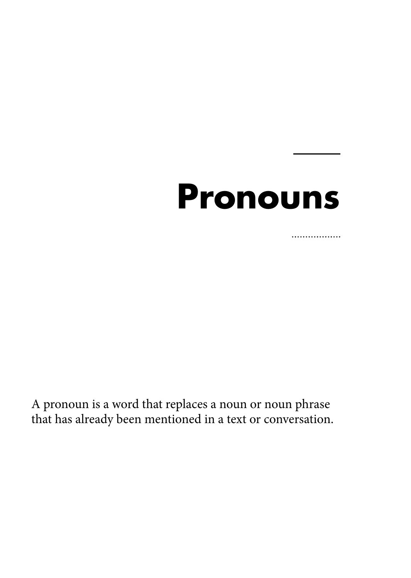# **Pronouns**

................

A pronoun is a word that replaces a noun or noun phrase that has already been mentioned in a text or conversation.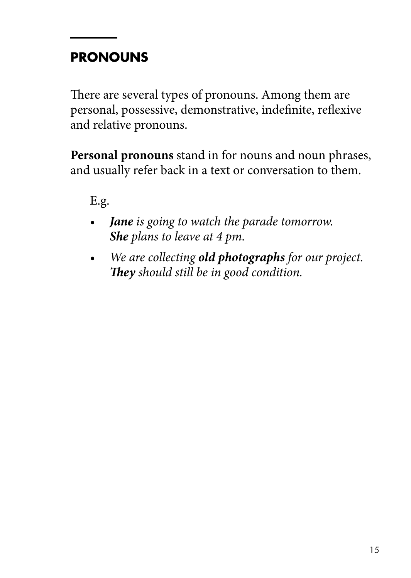# **PRONOUNS**

There are several types of pronouns. Among them are personal, possessive, demonstrative, indefinite, reflexive and relative pronouns.

**Personal pronouns** stand in for nouns and noun phrases, and usually refer back in a text or conversation to them.

- *Jane is going to watch the parade tomorrow. She plans to leave at 4 pm.*
- *We are collecting old photographs for our project. They should still be in good condition.*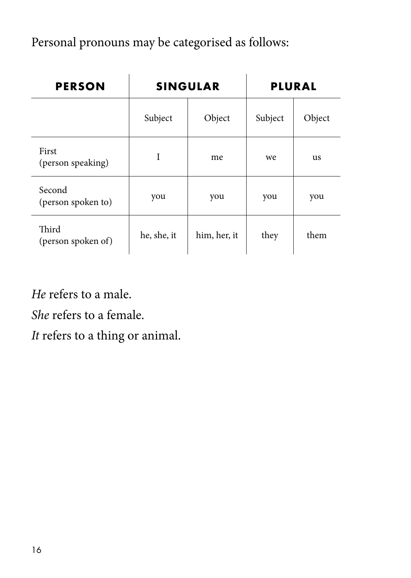Personal pronouns may be categorised as follows:

| <b>PERSON</b>                |             | <b>SINGULAR</b> | <b>PLURAL</b> |        |  |
|------------------------------|-------------|-----------------|---------------|--------|--|
|                              | Subject     | Object          | Subject       | Object |  |
| First<br>(person speaking)   |             | <sub>me</sub>   | we            | us     |  |
| Second<br>(person spoken to) | you         | you             | you           | you    |  |
| Third<br>(person spoken of)  | he, she, it | him, her, it    | they          | them   |  |

*He* refers to a male.

*She* refers to a female.

*It* refers to a thing or animal.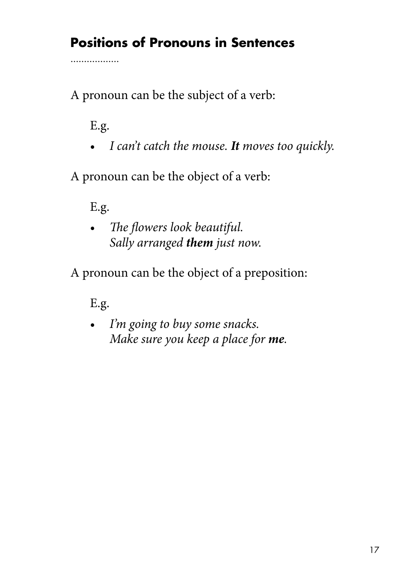# **Positions of Pronouns in Sentences**

A pronoun can be the subject of a verb:

E.g.

. . . . . . . . . . . . . . . . .

• *I can't catch the mouse. It moves too quickly.*

A pronoun can be the object of a verb:

E.g.

• *The flowers look beautiful. Sally arranged them just now.*

A pronoun can be the object of a preposition:

E.g.

• *I'm going to buy some snacks. Make sure you keep a place for me.*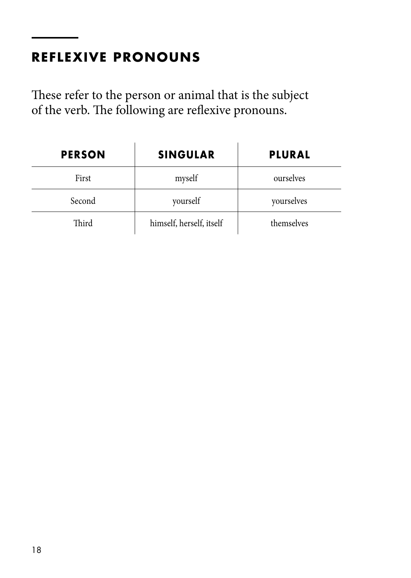# **REFLEXIVE PRONOUNS**

These refer to the person or animal that is the subject of the verb. The following are reflexive pronouns.

| <b>PERSON</b> | <b>SINGULAR</b>          | <b>PLURAL</b> |
|---------------|--------------------------|---------------|
| First         | myself                   | ourselves     |
| Second        | vourself                 | vourselves    |
| Third         | himself, herself, itself | themselves    |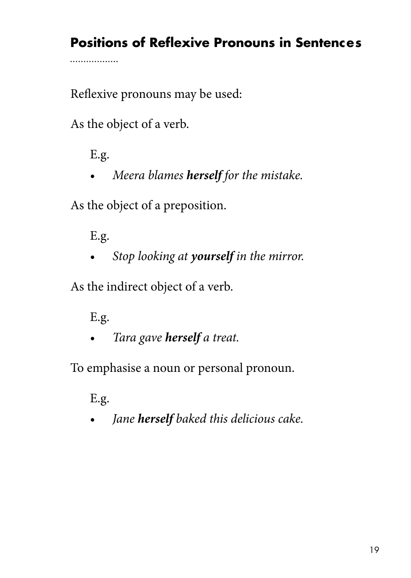# **Positions of Reflexive Pronouns in Sentences**

Reflexive pronouns may be used:

As the object of a verb.

E.g.

.................

• *Meera blames herself for the mistake.*

As the object of a preposition.

E.g.

• *Stop looking at yourself in the mirror.*

As the indirect object of a verb.

E.g.

• *Tara gave herself a treat.*

To emphasise a noun or personal pronoun.

E.g.

• *Jane herself baked this delicious cake.*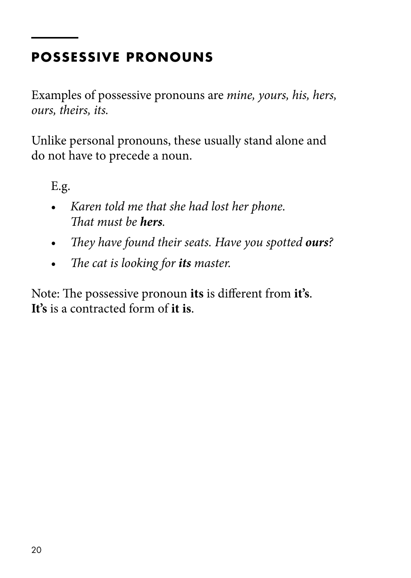# **POSSESSIVE PRONOUNS**

Examples of possessive pronouns are *mine, yours, his, hers, ours, theirs, its.* 

Unlike personal pronouns, these usually stand alone and do not have to precede a noun.

E.g.

- *Karen told me that she had lost her phone. That must be hers.*
- *They have found their seats. Have you spotted ours?*
- *The cat is looking for its master.*

Note: The possessive pronoun **its** is different from **it's**. **It's** is a contracted form of **it is**.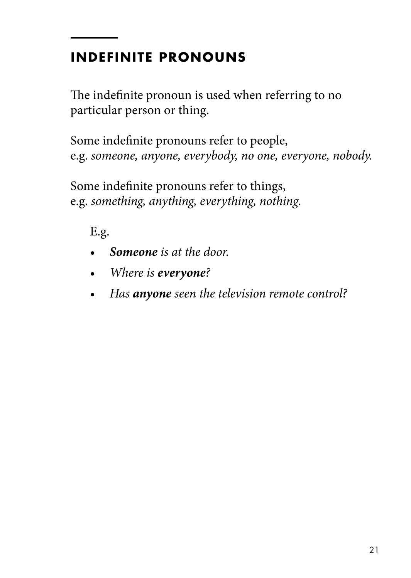# **INDEFINITE PRONOUNS**

The indefinite pronoun is used when referring to no particular person or thing.

Some indefinite pronouns refer to people, e.g. *someone, anyone, everybody, no one, everyone, nobody.*

Some indefinite pronouns refer to things, e.g. *something, anything, everything, nothing.*

- *Someone is at the door.*
- *Where is everyone?*
- *Has anyone seen the television remote control?*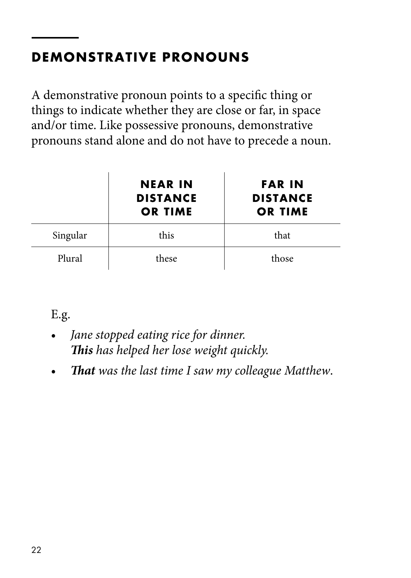# **DEMONSTRATIVE PRONOUNS**

A demonstrative pronoun points to a specific thing or things to indicate whether they are close or far, in space and/or time. Like possessive pronouns, demonstrative pronouns stand alone and do not have to precede a noun.

|          | <b>NEAR IN</b><br><b>DISTANCE</b><br><b>OR TIME</b> | <b>FAR IN</b><br><b>DISTANCE</b><br><b>OR TIME</b> |
|----------|-----------------------------------------------------|----------------------------------------------------|
| Singular | this                                                | that                                               |
| Plural   | these                                               | those                                              |

- *Jane stopped eating rice for dinner. This has helped her lose weight quickly.*
- *That was the last time I saw my colleague Matthew*.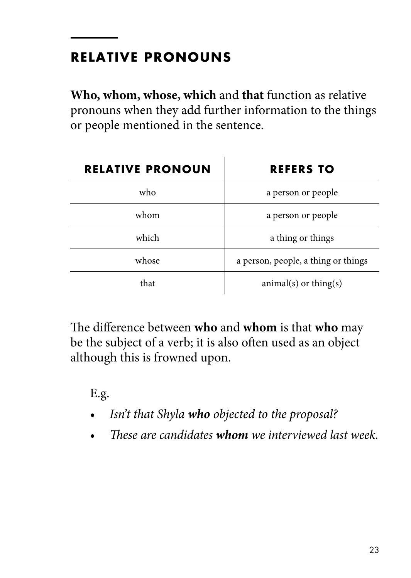# **RELATIVE PRONOUNS**

**Who, whom, whose, which** and **that** function as relative pronouns when they add further information to the things or people mentioned in the sentence.

| <b>RELATIVE PRONOUN</b> | <b>REFERS TO</b>                    |
|-------------------------|-------------------------------------|
| who                     | a person or people                  |
| whom                    | a person or people                  |
| which                   | a thing or things                   |
| whose                   | a person, people, a thing or things |
| that                    | $animal(s)$ or thing(s)             |

The difference between **who** and **whom** is that **who** may be the subject of a verb; it is also often used as an object although this is frowned upon.

- *Isn't that Shyla who objected to the proposal?*
- *These are candidates whom we interviewed last week.*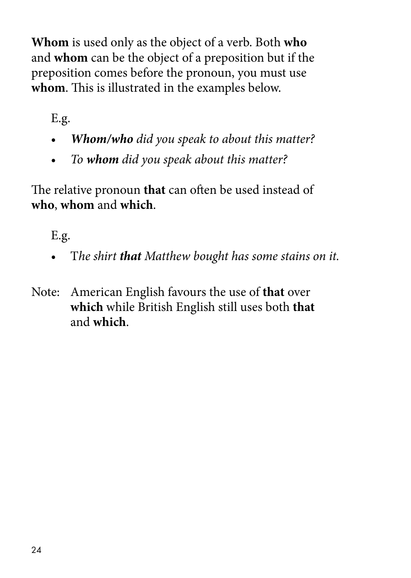**Whom** is used only as the object of a verb. Both **who** and **whom** can be the object of a preposition but if the preposition comes before the pronoun, you must use **whom**. This is illustrated in the examples below.

E.g.

- *Whom/who did you speak to about this matter?*
- *To whom did you speak about this matter?*

The relative pronoun **that** can often be used instead of **who**, **whom** and **which**.

- T*he shirt that Matthew bought has some stains on it.*
- Note: American English favours the use of **that** over **which** while British English still uses both **that** and **which**.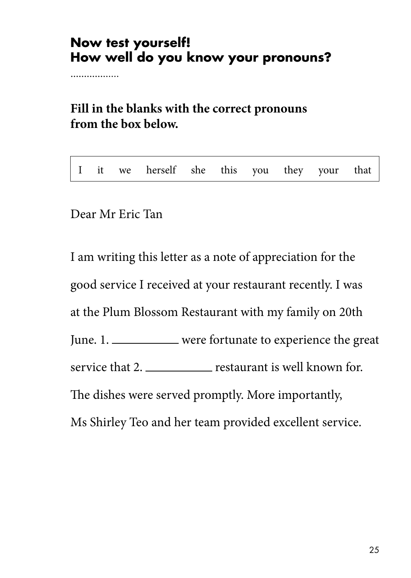#### **Now test yourself! How well do you know your pronouns?**

. . . . . . . . . . . . . . . . .

**Fill in the blanks with the correct pronouns from the box below.**

|  |  |  |  | I it we herself she this you they your that |  |  |  |  |  |  |
|--|--|--|--|---------------------------------------------|--|--|--|--|--|--|
|--|--|--|--|---------------------------------------------|--|--|--|--|--|--|

Dear Mr Eric Tan

I am writing this letter as a note of appreciation for the good service I received at your restaurant recently. I was at the Plum Blossom Restaurant with my family on 20th June. 1. were fortunate to experience the great service that 2. \_\_\_\_\_\_\_\_\_\_\_ restaurant is well known for. The dishes were served promptly. More importantly, Ms Shirley Teo and her team provided excellent service.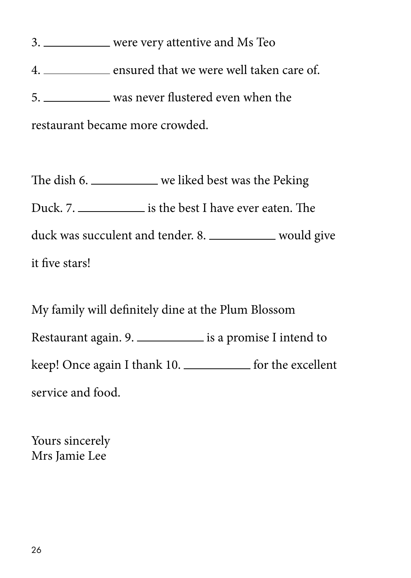3. were very attentive and Ms Teo 4. ensured that we were well taken care of. 5. was never flustered even when the restaurant became more crowded.

The dish 6. we liked best was the Peking Duck. 7. \_\_\_\_\_\_\_\_\_\_\_\_\_\_ is the best I have ever eaten. The duck was succulent and tender. 8. \_\_\_\_\_\_\_\_\_\_ would give it five stars!

My family will definitely dine at the Plum Blossom Restaurant again. 9. is a promise I intend to keep! Once again I thank 10. \_\_\_\_\_\_\_\_\_\_\_ for the excellent service and food.

Yours sincerely Mrs Jamie Lee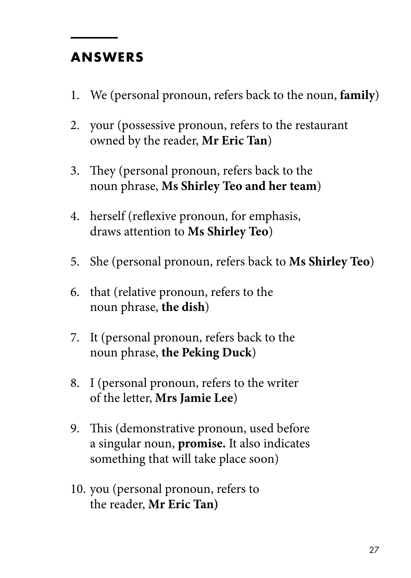#### **ANSWERS**

- 1. We (personal pronoun, refers back to the noun, **family**)
- 2. your (possessive pronoun, refers to the restaurant owned by the reader, **Mr Eric Tan**)
- 3. They (personal pronoun, refers back to the noun phrase, **Ms Shirley Teo and her team**)
- 4. herself (reflexive pronoun, for emphasis, draws attention to **Ms Shirley Teo**)
- 5. She (personal pronoun, refers back to **Ms Shirley Teo**)
- 6. that (relative pronoun, refers to the noun phrase, **the dish**)
- 7. It (personal pronoun, refers back to the noun phrase, **the Peking Duck**)
- 8. I (personal pronoun, refers to the writer of the letter, **Mrs Jamie Lee**)
- 9. This (demonstrative pronoun, used before a singular noun, **promise.** It also indicates something that will take place soon)
- 10. you (personal pronoun, refers to the reader, **Mr Eric Tan)**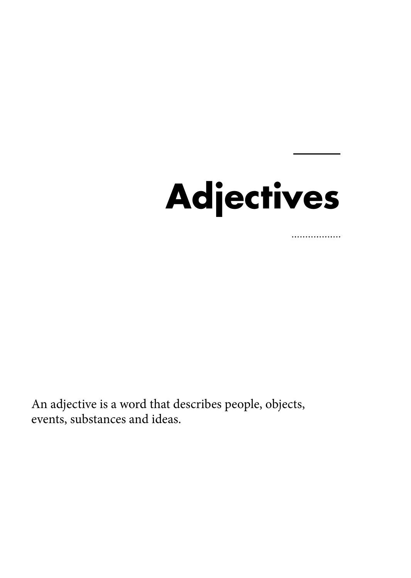# **Adjectives**

. . . . . . . . . . . . . . . . .

An adjective is a word that describes people, objects, events, substances and ideas.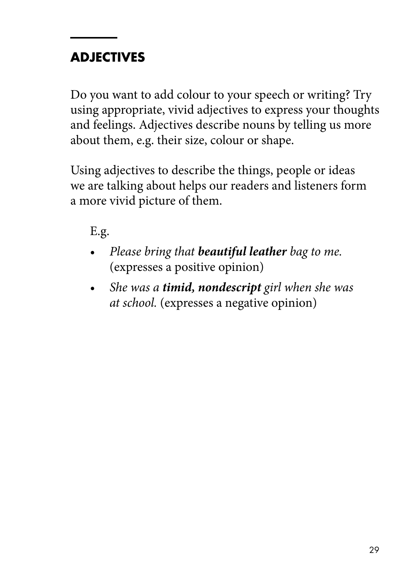# **ADJECTIVES**

Do you want to add colour to your speech or writing? Try using appropriate, vivid adjectives to express your thoughts and feelings. Adjectives describe nouns by telling us more about them, e.g. their size, colour or shape.

Using adjectives to describe the things, people or ideas we are talking about helps our readers and listeners form a more vivid picture of them.

- *Please bring that beautiful leather bag to me.* (expresses a positive opinion)
- *She was a timid, nondescript girl when she was at school.* (expresses a negative opinion)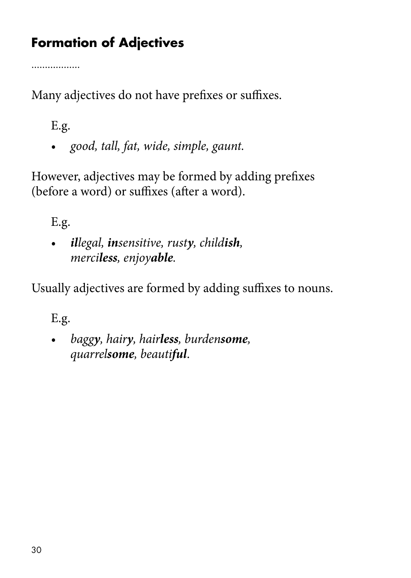# **Formation of Adjectives**

. . . . . . . . . . . . . . . . .

Many adjectives do not have prefixes or suffixes.

E.g.

*• good, tall, fat, wide, simple, gaunt.*

However, adjectives may be formed by adding prefixes (before a word) or suffixes (after a word).

E.g.

*• illegal, insensitive, rusty, childish, merciless, enjoyable.*

Usually adjectives are formed by adding suffixes to nouns.

E.g.

*• baggy, hairy, hairless, burdensome, quarrelsome, beautiful*.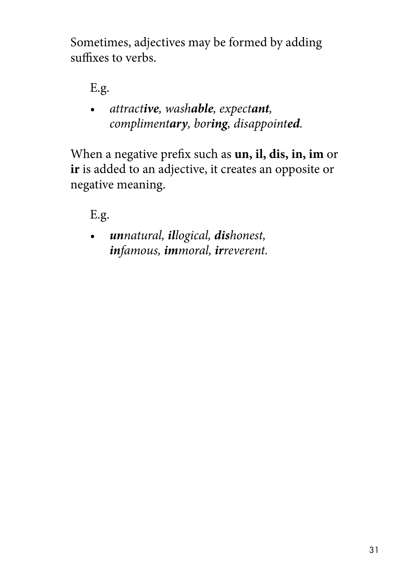Sometimes, adjectives may be formed by adding suffixes to verbs.

E.g.

*• attractive, washable, expectant, complimentary, boring, disappointed.*

When a negative prefix such as **un, il, dis, in, im** or **ir** is added to an adjective, it creates an opposite or negative meaning.

# E.g.

*• unnatural, illogical, dishonest, infamous, immoral, irreverent.*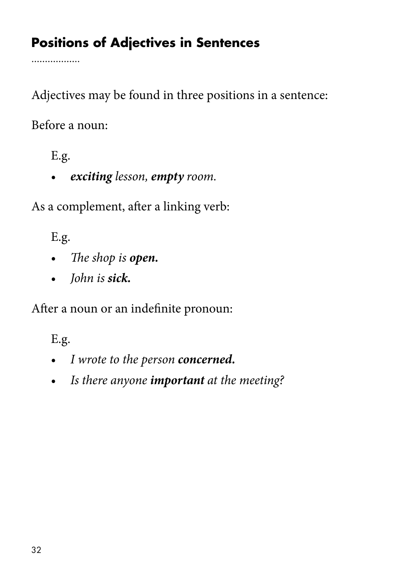# **Positions of Adjectives in Sentences**

. . . . . . . . . . . . . . . . . .

Adjectives may be found in three positions in a sentence:

Before a noun:

E.g.

• *exciting lesson, empty room.*

As a complement, after a linking verb:

E.g.

- *The shop is open.*
- *John is sick.*

After a noun or an indefinite pronoun:

- *I wrote to the person concerned.*
- *Is there anyone important at the meeting?*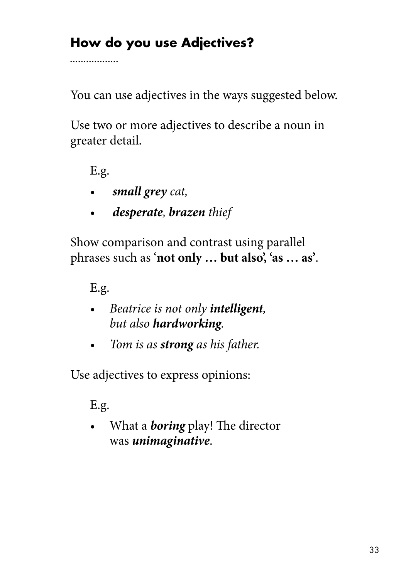# **How do you use Adjectives?**

. . . . . . . . . . . . . . . . .

You can use adjectives in the ways suggested below.

Use two or more adjectives to describe a noun in greater detail.

E.g.

- *• small grey cat,*
- *• desperate, brazen thief*

Show comparison and contrast using parallel phrases such as '**not only … but also', 'as … as'**.

E.g.

- *Beatrice is not only intelligent, but also hardworking.*
- *• Tom is as strong as his father.*

Use adjectives to express opinions:

E.g.

*•* What a *boring* play! The director was *unimaginative*.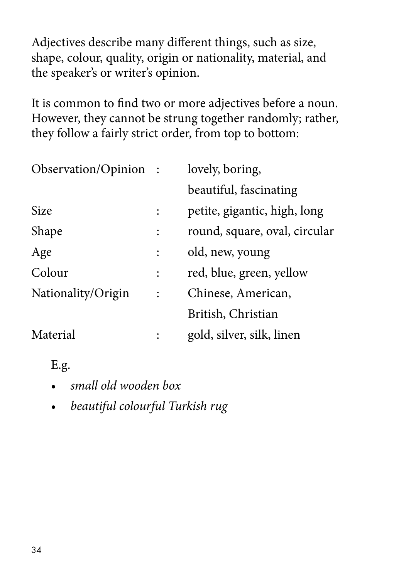Adjectives describe many different things, such as size, shape, colour, quality, origin or nationality, material, and the speaker's or writer's opinion.

It is common to find two or more adjectives before a noun. However, they cannot be strung together randomly; rather, they follow a fairly strict order, from top to bottom:

| Observation/Opinion: |                | lovely, boring,               |  |  |
|----------------------|----------------|-------------------------------|--|--|
|                      |                | beautiful, fascinating        |  |  |
| Size                 | $\ddot{\cdot}$ | petite, gigantic, high, long  |  |  |
| Shape                | $\ddot{\cdot}$ | round, square, oval, circular |  |  |
| Age                  | $\ddot{\cdot}$ | old, new, young               |  |  |
| Colour               | $\ddot{\cdot}$ | red, blue, green, yellow      |  |  |
| Nationality/Origin   | $\ddot{\cdot}$ | Chinese, American,            |  |  |
|                      |                | British, Christian            |  |  |
| Material             | $\ddot{\cdot}$ | gold, silver, silk, linen     |  |  |

- *small old wooden box*
- *beautiful colourful Turkish rug*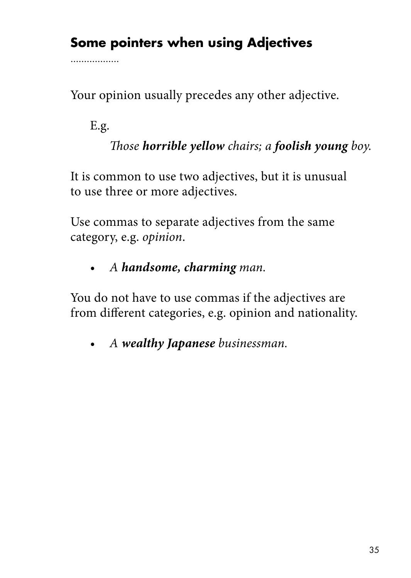## **Some pointers when using Adjectives**

Your opinion usually precedes any other adjective.

E.g.

. . . . . . . . . . . . . . . . .

 *Those horrible yellow chairs; a foolish young boy.*

It is common to use two adjectives, but it is unusual to use three or more adjectives.

Use commas to separate adjectives from the same category, e.g. *opinion*.

*• A handsome, charming man.*

You do not have to use commas if the adjectives are from different categories, e.g. opinion and nationality.

*• A wealthy Japanese businessman.*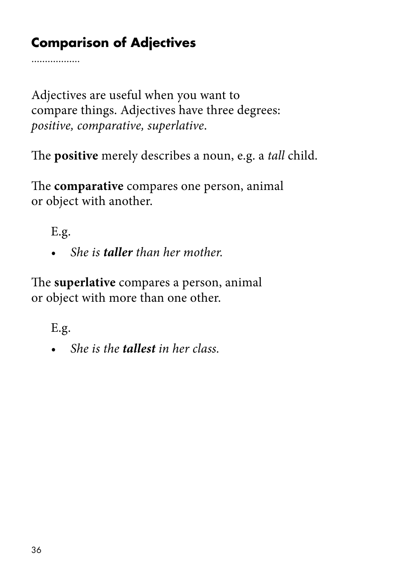# **Comparison of Adjectives**

Adjectives are useful when you want to compare things. Adjectives have three degrees: *positive, comparative, superlative*.

The **positive** merely describes a noun, e.g. a *tall* child.

The **comparative** compares one person, animal or object with another.

E.g.

. . . . . . . . . . . . . . . . .

*• She is taller than her mother.*

The **superlative** compares a person, animal or object with more than one other.

E.g.

*• She is the tallest in her class.*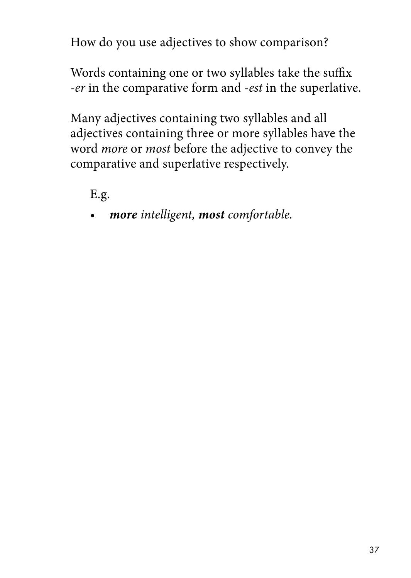How do you use adjectives to show comparison?

Words containing one or two syllables take the suffix *-er* in the comparative form and *-est* in the superlative.

Many adjectives containing two syllables and all adjectives containing three or more syllables have the word *more* or *most* before the adjective to convey the comparative and superlative respectively.

E.g.

*• more intelligent, most comfortable.*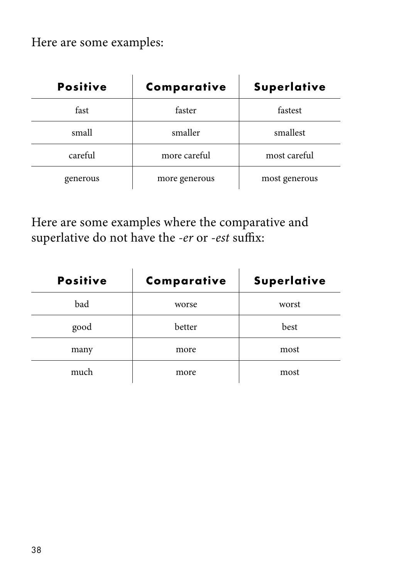Here are some examples:

| <b>Positive</b> | Comparative   | <b>Superlative</b> |
|-----------------|---------------|--------------------|
| fast            | faster        | fastest            |
| small           | smaller       | smallest           |
| careful         | more careful  | most careful       |
| generous        | more generous | most generous      |

Here are some examples where the comparative and superlative do not have the *-er* or *-est* suffix:

| <b>Positive</b> | Comparative | Superlative |
|-----------------|-------------|-------------|
| bad             | worse       | worst       |
| good            | better      | best        |
| many            | more        | most        |
| much            | more        | most        |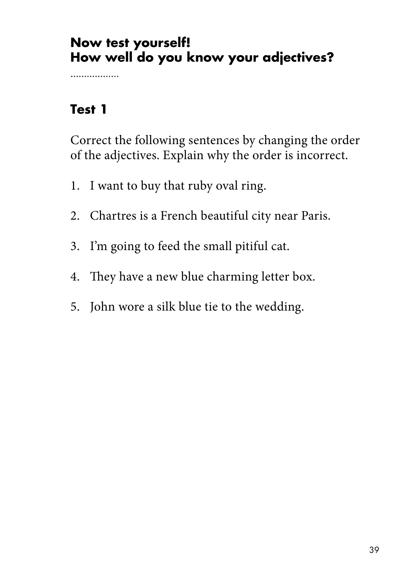#### **Now test yourself! How well do you know your adjectives?**

................

#### **Test 1**

Correct the following sentences by changing the order of the adjectives. Explain why the order is incorrect.

- 1. I want to buy that ruby oval ring.
- 2. Chartres is a French beautiful city near Paris.
- 3. I'm going to feed the small pitiful cat.
- 4. They have a new blue charming letter box.
- 5. John wore a silk blue tie to the wedding.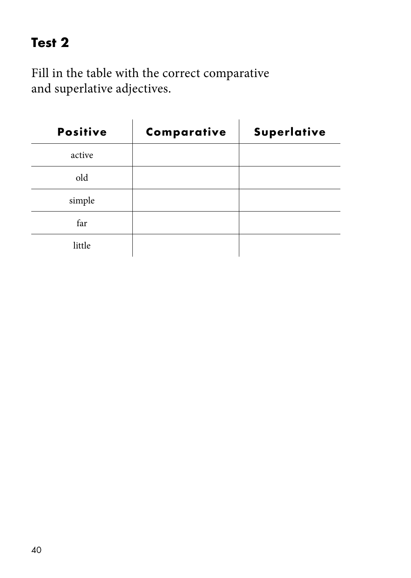## **Test 2**

Fill in the table with the correct comparative and superlative adjectives.

| <b>Positive</b> | Comparative | Superlative |
|-----------------|-------------|-------------|
| active          |             |             |
| old             |             |             |
| simple          |             |             |
| far             |             |             |
| little          |             |             |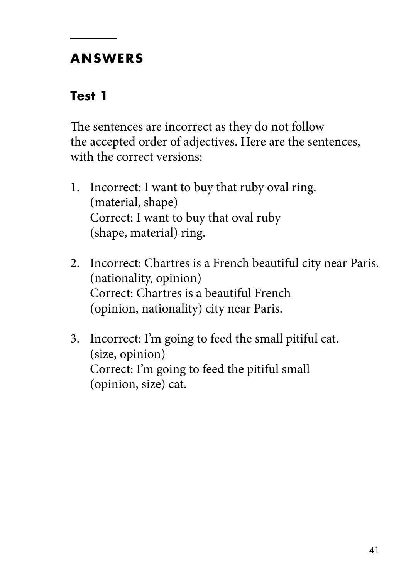#### **ANSWERS**

### **Test 1**

The sentences are incorrect as they do not follow the accepted order of adjectives. Here are the sentences, with the correct versions:

- 1. Incorrect: I want to buy that ruby oval ring. (material, shape) Correct: I want to buy that oval ruby (shape, material) ring.
- 2. Incorrect: Chartres is a French beautiful city near Paris. (nationality, opinion) Correct: Chartres is a beautiful French (opinion, nationality) city near Paris.
- 3. Incorrect: I'm going to feed the small pitiful cat. (size, opinion) Correct: I'm going to feed the pitiful small (opinion, size) cat.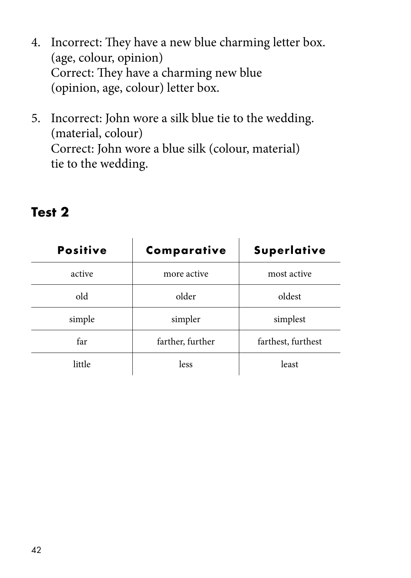- 4. Incorrect: They have a new blue charming letter box. (age, colour, opinion) Correct: They have a charming new blue (opinion, age, colour) letter box.
- 5. Incorrect: John wore a silk blue tie to the wedding. (material, colour) Correct: John wore a blue silk (colour, material) tie to the wedding.

| <b>Positive</b> | Comparative      | Superlative        |
|-----------------|------------------|--------------------|
| active          | more active      | most active        |
| old             | older            | oldest             |
| simple          | simpler          | simplest           |
| far             | farther, further | farthest, furthest |
| little          | less             | least              |

#### **Test 2**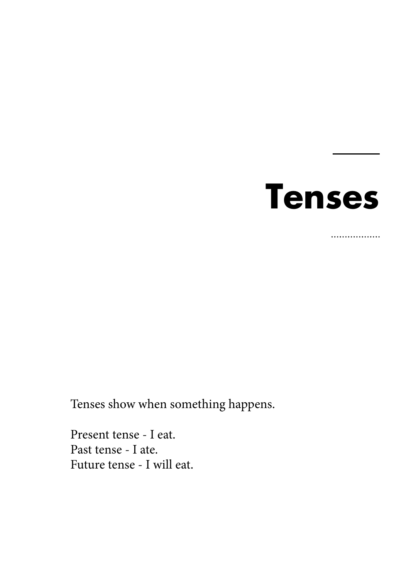

................

Tenses show when something happens.

Present tense - I eat. Past tense - I ate. Future tense - I will eat.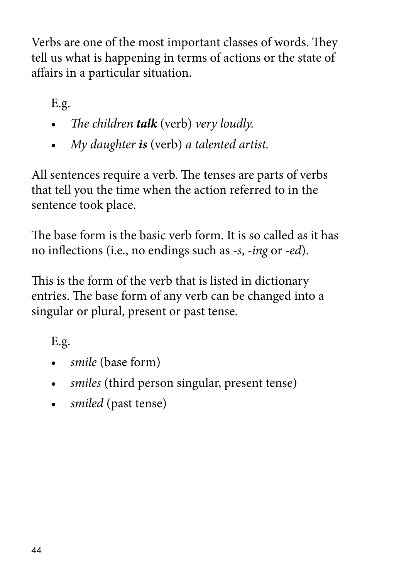Verbs are one of the most important classes of words. They tell us what is happening in terms of actions or the state of affairs in a particular situation.

E.g.

- *The children talk* (verb) *very loudly.*
- *My daughter is* (verb) *a talented artist.*

All sentences require a verb. The tenses are parts of verbs that tell you the time when the action referred to in the sentence took place.

The base form is the basic verb form. It is so called as it has no inflections (i.e., no endings such as *-s*, *-ing* or *-ed*).

This is the form of the verb that is listed in dictionary entries. The base form of any verb can be changed into a singular or plural, present or past tense.

- *smile* (base form)
- *smiles* (third person singular, present tense)
- *smiled* (past tense)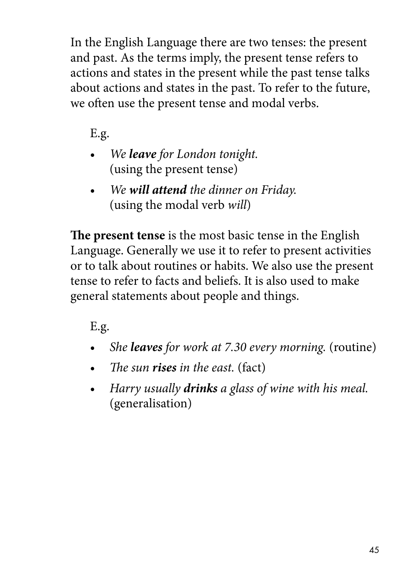In the English Language there are two tenses: the present and past. As the terms imply, the present tense refers to actions and states in the present while the past tense talks about actions and states in the past. To refer to the future, we often use the present tense and modal verbs.

E.g.

- *We leave for London tonight.* (using the present tense)
- *We will attend the dinner on Friday.*  (using the modal verb *will*)

**The present tense** is the most basic tense in the English Language. Generally we use it to refer to present activities or to talk about routines or habits. We also use the present tense to refer to facts and beliefs. It is also used to make general statements about people and things.

- *She leaves for work at 7.30 every morning.* (routine)
- *The sun rises in the east.* (fact)
- *Harry usually drinks a glass of wine with his meal.* (generalisation)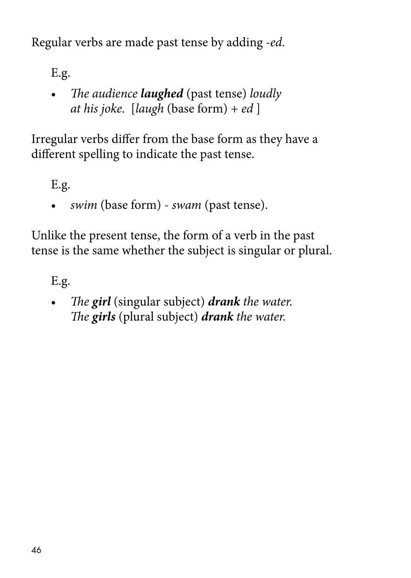Regular verbs are made past tense by adding *-ed*.

E.g.

• *The audience laughed* (past tense) *loudly at his joke*. [*laugh* (base form) + *ed* ]

Irregular verbs differ from the base form as they have a different spelling to indicate the past tense.

E.g.

• *swim* (base form) - *swam* (past tense).

Unlike the present tense, the form of a verb in the past tense is the same whether the subject is singular or plural.

E.g.

• *The girl* (singular subject) *drank the water. The girls* (plural subject) *drank the water.*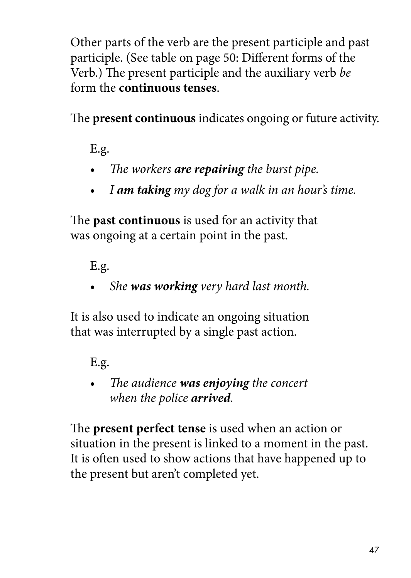Other parts of the verb are the present participle and past participle. (See table on page 50: Different forms of the Verb.) The present participle and the auxiliary verb *be* form the **continuous tenses**.

The **present continuous** indicates ongoing or future activity.

E.g.

- *The workers are repairing the burst pipe.*
- *I am taking my dog for a walk in an hour's time.*

The **past continuous** is used for an activity that was ongoing at a certain point in the past.

E.g.

• *She was working very hard last month.*

It is also used to indicate an ongoing situation that was interrupted by a single past action.

E.g.

• *The audience was enjoying the concert when the police arrived.*

The **present perfect tense** is used when an action or situation in the present is linked to a moment in the past. It is often used to show actions that have happened up to the present but aren't completed yet.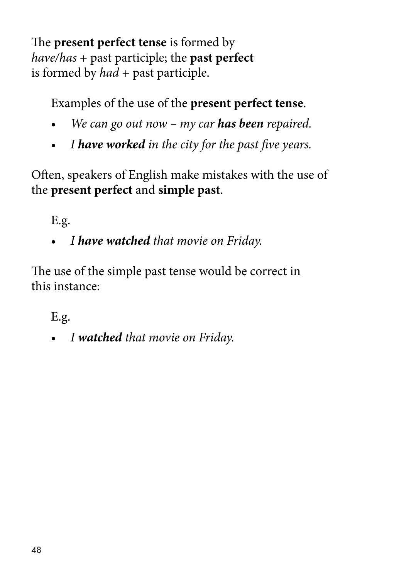The **present perfect tense** is formed by *have/has* + past participle; the **past perfect** is formed by *had* + past participle.

Examples of the use of the **present perfect tense**.

- *We can go out now my car has been repaired.*
- *I have worked in the city for the past five years.*

Often, speakers of English make mistakes with the use of the **present perfect** and **simple past**.

E.g.

• *I have watched that movie on Friday.*

The use of the simple past tense would be correct in this instance:

E.g.

• *I watched that movie on Friday.*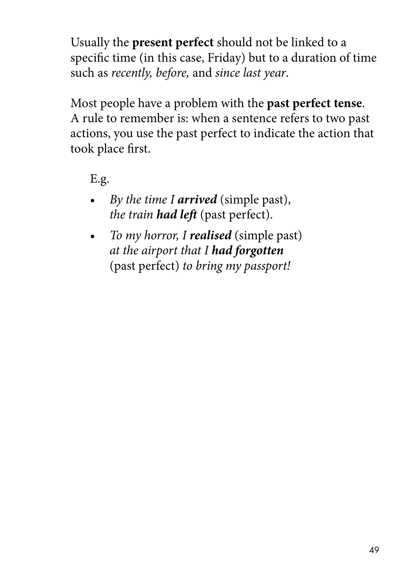Usually the **present perfect** should not be linked to a specific time (in this case, Friday) but to a duration of time such as *recently, before,* and *since last year*.

Most people have a problem with the **past perfect tense**. A rule to remember is: when a sentence refers to two past actions, you use the past perfect to indicate the action that took place first.

- *By the time I arrived* (simple past), *the train had left* (past perfect).
- *To my horror, I realised* (simple past) *at the airport that I had forgotten* (past perfect) *to bring my passport!*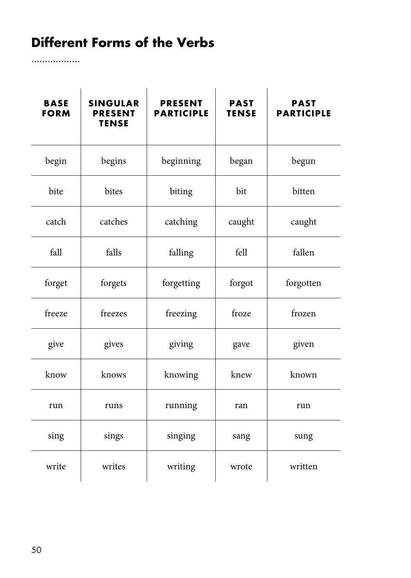## **Different Forms of the Verbs**

................

| <b>BASE</b><br><b>FORM</b> | <b>SINGULAR</b><br><b>PRESENT</b><br><b>TENSE</b> | <b>PRESENT</b><br><b>PARTICIPLE</b> | <b>PAST</b><br><b>TENSE</b> | <b>PAST</b><br><b>PARTICIPLE</b> |
|----------------------------|---------------------------------------------------|-------------------------------------|-----------------------------|----------------------------------|
| begin                      | begins                                            | beginning                           | began                       | begun                            |
| bite                       | bites                                             | biting                              | bit                         | bitten                           |
| catch                      | catches                                           | catching                            | caught                      | caught                           |
| fall                       | falls                                             | falling                             | fell                        | fallen                           |
| forget                     | forgets                                           | forgetting                          | forgot                      | forgotten                        |
| freeze                     | freezes                                           | freezing                            | froze                       | frozen                           |
| give                       | gives                                             | giving                              | gave                        | given                            |
| know                       | knows                                             | knowing                             | knew                        | known                            |
| run                        | runs                                              | running                             | ran                         | run                              |
| sing                       | sings                                             | singing                             | sang                        | sung                             |
| write                      | writes                                            | writing                             | wrote                       | written                          |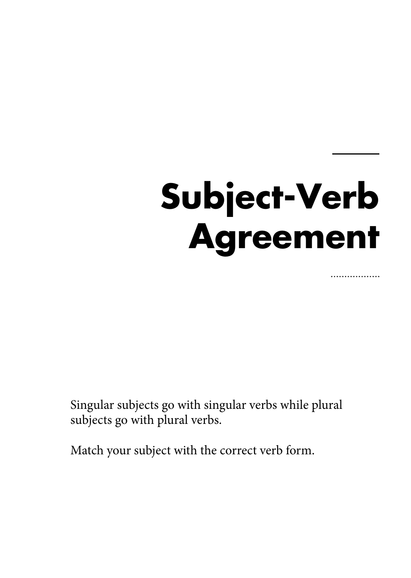# **Subject-Verb Agreement**

.................

Singular subjects go with singular verbs while plural subjects go with plural verbs.

Match your subject with the correct verb form.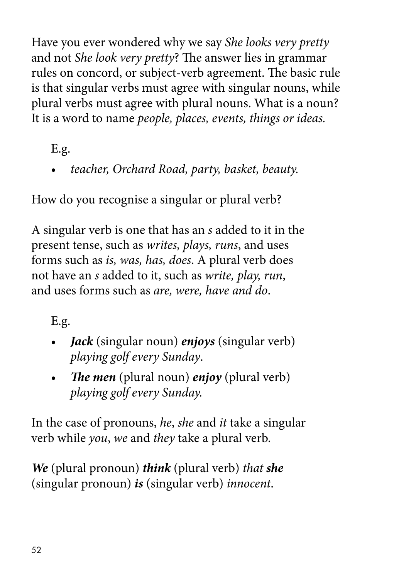Have you ever wondered why we say *She looks very pretty* and not *She look very pretty*? The answer lies in grammar rules on concord, or subject-verb agreement. The basic rule is that singular verbs must agree with singular nouns, while plural verbs must agree with plural nouns. What is a noun? It is a word to name *people, places, events, things or ideas.*

E.g.

• *teacher, Orchard Road, party, basket, beauty.*

How do you recognise a singular or plural verb?

A singular verb is one that has an *s* added to it in the present tense, such as *writes, plays, runs*, and uses forms such as *is, was, has, does*. A plural verb does not have an *s* added to it, such as *write, play, run*, and uses forms such as *are, were, have and do*.

E.g.

- *Jack* (singular noun) *enjoys* (singular verb) *playing golf every Sunday*.
- *The men* (plural noun) *enjoy* (plural verb) *playing golf every Sunday.*

In the case of pronouns, *he*, *she* and *it* take a singular verb while *you*, *we* and *they* take a plural verb.

*We* (plural pronoun) *think* (plural verb) *that she* (singular pronoun) *is* (singular verb) *innocent*.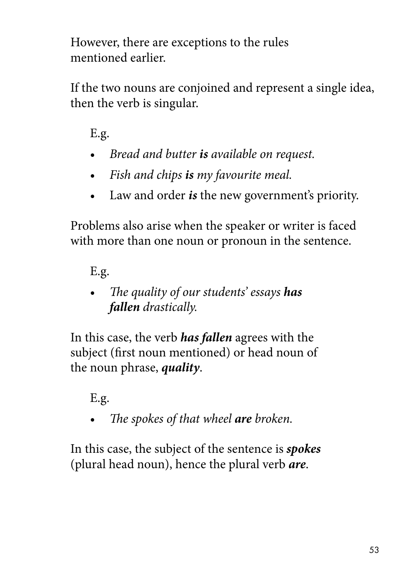However, there are exceptions to the rules mentioned earlier.

If the two nouns are conjoined and represent a single idea, then the verb is singular.

E.g.

- *Bread and butter is available on request.*
- *Fish and chips is my favourite meal.*
- Law and order *is* the new government's priority.

Problems also arise when the speaker or writer is faced with more than one noun or pronoun in the sentence.

E.g.

• *The quality of our students' essays has fallen drastically.*

In this case, the verb *has fallen* agrees with the subject (first noun mentioned) or head noun of the noun phrase, *quality*.

## E.g.

• *The spokes of that wheel are broken.*

In this case, the subject of the sentence is *spokes* (plural head noun), hence the plural verb *are*.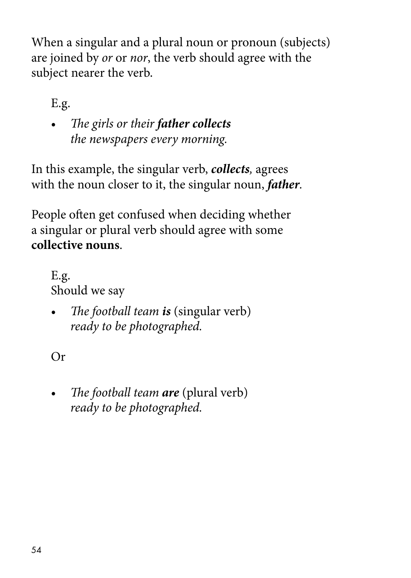When a singular and a plural noun or pronoun (subjects) are joined by *or* or *nor*, the verb should agree with the subject nearer the verb.

E.g.

• *The girls or their father collects the newspapers every morning.*

In this example, the singular verb, *collects,* agrees with the noun closer to it, the singular noun, *father.*

People often get confused when deciding whether a singular or plural verb should agree with some **collective nouns**.

E.g. Should we say

• *The football team is* (singular verb) *ready to be photographed.*

Or

• *The football team are* (plural verb) *ready to be photographed.*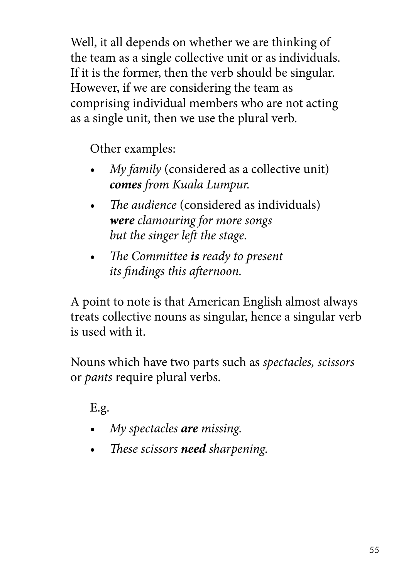Well, it all depends on whether we are thinking of the team as a single collective unit or as individuals. If it is the former, then the verb should be singular. However, if we are considering the team as comprising individual members who are not acting as a single unit, then we use the plural verb.

Other examples:

- *My family* (considered as a collective unit) *comes from Kuala Lumpur.*
- *The audience* (considered as individuals) *were clamouring for more songs but the singer left the stage.*
- *The Committee is ready to present its findings this afternoon.*

A point to note is that American English almost always treats collective nouns as singular, hence a singular verb is used with it.

Nouns which have two parts such as *spectacles, scissors* or *pants* require plural verbs.

- *My spectacles are missing.*
- *These scissors need sharpening.*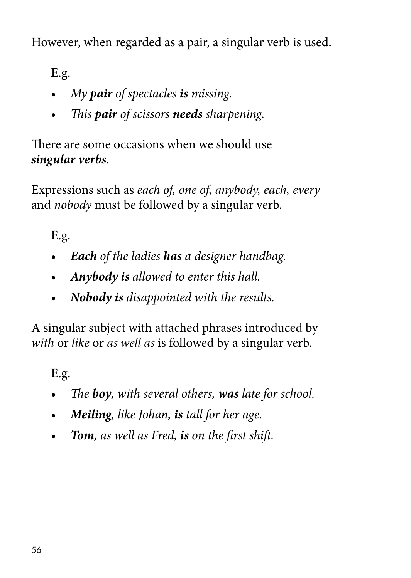However, when regarded as a pair, a singular verb is used.

E.g.

- *My pair of spectacles is missing.*
- *This pair of scissors needs sharpening.*

There are some occasions when we should use *singular verbs*.

Expressions such as *each of, one of, anybody, each, every*  and *nobody* must be followed by a singular verb.

E.g.

- *Each of the ladies has a designer handbag.*
- *Anybody is allowed to enter this hall.*
- *Nobody is disappointed with the results.*

A singular subject with attached phrases introduced by *with* or *like* or *as well as* is followed by a singular verb.

- *The boy, with several others, was late for school.*
- *Meiling, like Johan, is tall for her age.*
- *Tom, as well as Fred, is on the first shift.*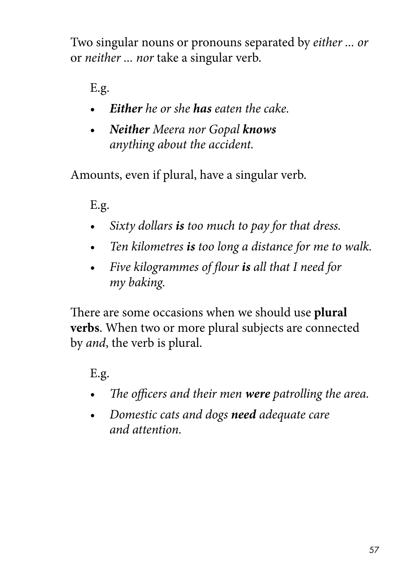Two singular nouns or pronouns separated by *either ... or*  or *neither ... nor* take a singular verb.

E.g.

- *Either he or she has eaten the cake.*
- *Neither Meera nor Gopal knows anything about the accident.*

Amounts, even if plural, have a singular verb.

E.g.

- *• Sixty dollars is too much to pay for that dress.*
- *• Ten kilometres is too long a distance for me to walk.*
- *Five kilogrammes of flour is all that I need for my baking.*

There are some occasions when we should use **plural verbs**. When two or more plural subjects are connected by *and*, the verb is plural.

- *• The officers and their men were patrolling the area.*
- *Domestic cats and dogs need adequate care and attention.*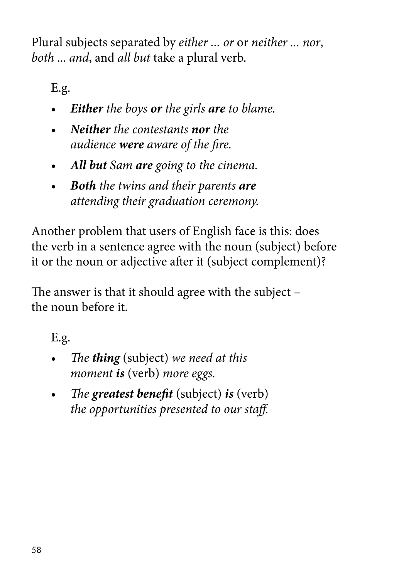Plural subjects separated by *either ... or* or *neither ... nor*, *both* ... *and*, and *all but* take a plural verb.

E.g.

- *• Either the boys or the girls are to blame.*
- *• Neither the contestants nor the audience were aware of the fire.*
- *• All but Sam are going to the cinema.*
- *Both the twins and their parents are attending their graduation ceremony.*

Another problem that users of English face is this: does the verb in a sentence agree with the noun (subject) before it or the noun or adjective after it (subject complement)?

The answer is that it should agree with the subject – the noun before it.

- *The thing* (subject) *we need at this moment is* (verb) *more eggs.*
- *The greatest benefit* (subject) *is* (verb) *the opportunities presented to our staff.*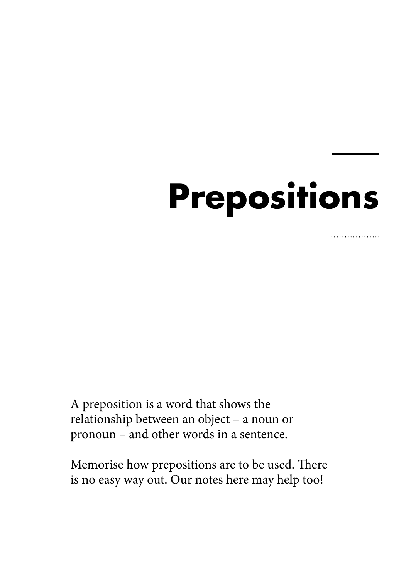## **Prepositions**

. . . . . . . . . . . . . . .

A preposition is a word that shows the relationship between an object – a noun or pronoun – and other words in a sentence.

Memorise how prepositions are to be used. There is no easy way out. Our notes here may help too!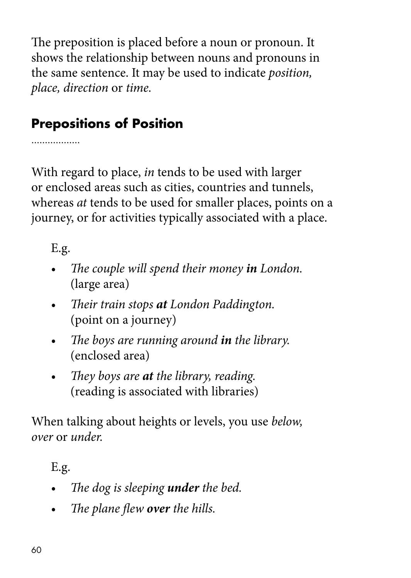The preposition is placed before a noun or pronoun. It shows the relationship between nouns and pronouns in the same sentence. It may be used to indicate *position, place, direction* or *time.*

## **Prepositions of Position**

.................

With regard to place, *in* tends to be used with larger or enclosed areas such as cities, countries and tunnels, whereas *at* tends to be used for smaller places, points on a journey, or for activities typically associated with a place.

E.g.

- *The couple will spend their money in London.* (large area)
- *Their train stops at London Paddington.*  (point on a journey)
- *The boys are running around in the library.*  (enclosed area)
- *They boys are at the library, reading.* (reading is associated with libraries)

When talking about heights or levels, you use *below, over* or *under.*

- *• The dog is sleeping under the bed.*
- *• The plane flew over the hills.*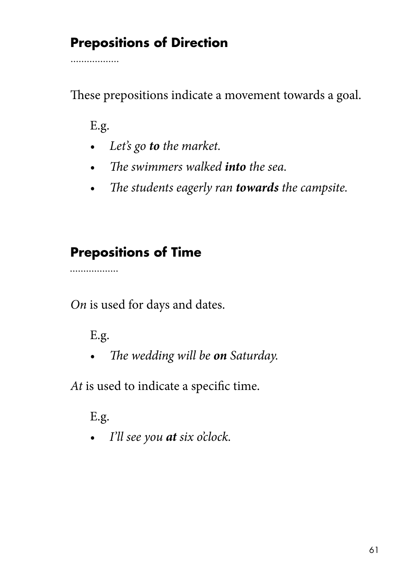## **Prepositions of Direction**

These prepositions indicate a movement towards a goal.

E.g.

. . . . . . . . . . . . . . . . .

- *• Let's go to the market.*
- *• The swimmers walked into the sea.*
- *• The students eagerly ran towards the campsite.*

#### **Prepositions of Time**

. . . . . . . . . . . . . . . . .

*On* is used for days and dates.

E.g.

*• The wedding will be on Saturday.*

*At* is used to indicate a specific time.

E.g.

*• I'll see you at six o'clock.*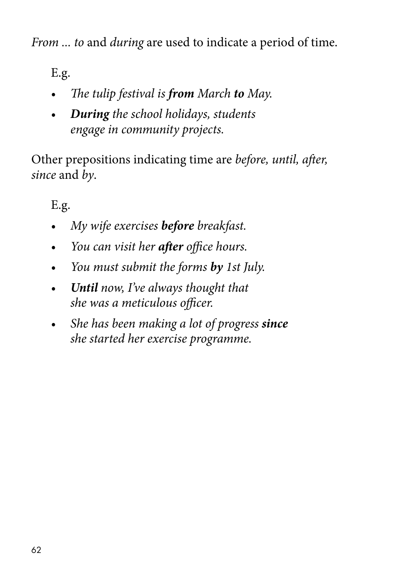*From ... to* and *during* are used to indicate a period of time.

E.g.

- *• The tulip festival is from March to May.*
- *• During the school holidays, students engage in community projects.*

Other prepositions indicating time are *before, until, after, since* and *by*.

- *• My wife exercises before breakfast.*
- *• You can visit her after office hours.*
- *• You must submit the forms by 1st July.*
- *• Until now, I've always thought that she was a meticulous officer.*
- *She has been making a lot of progress since she started her exercise programme.*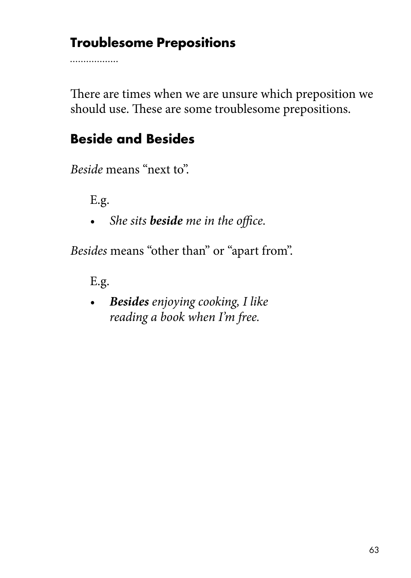### **Troublesome Prepositions**

. . . . . . . . . . . . . . . . .

There are times when we are unsure which preposition we should use. These are some troublesome prepositions.

## **Beside and Besides**

*Beside* means "next to".

E.g.

*• She sits beside me in the office.*

*Besides* means "other than" or "apart from".

E.g.

*• Besides enjoying cooking, I like reading a book when I'm free.*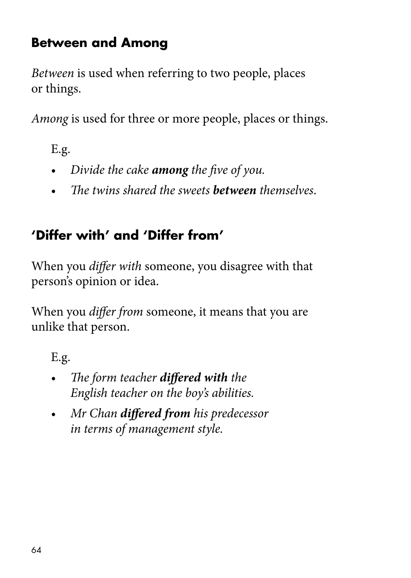## **Between and Among**

*Between* is used when referring to two people, places or things.

*Among* is used for three or more people, places or things.

E.g.

- *• Divide the cake among the five of you.*
- *• The twins shared the sweets between themselves*.

## **'Differ with' and 'Differ from'**

When you *differ with* someone, you disagree with that person's opinion or idea.

When you *differ from* someone, it means that you are unlike that person.

- *• The form teacher differed with the English teacher on the boy's abilities.*
- *• Mr Chan differed from his predecessor in terms of management style.*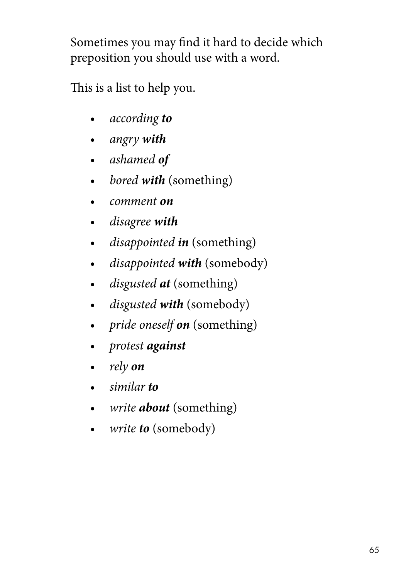Sometimes you may find it hard to decide which preposition you should use with a word.

This is a list to help you.

- *• according to*
- *• angry with*
- *• ashamed of*
- *• bored with* (something)
- *• comment on*
- *• disagree with*
- *• disappointed in* (something)
- *disappointed with (somebody)*
- *• disgusted at* (something)
- *• disgusted with* (somebody)
- *• pride oneself on* (something)
- *• protest against*
- *• rely on*
- *• similar to*
- *• write about* (something)
- *• write to* (somebody)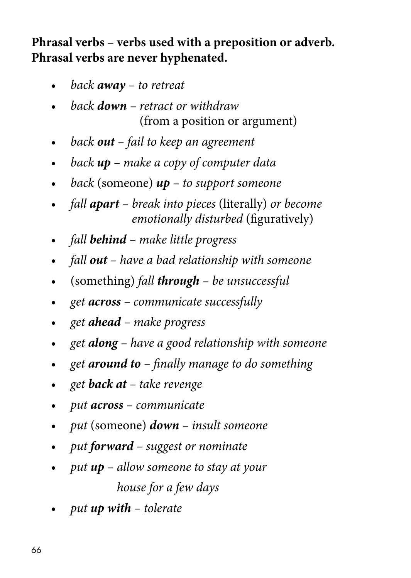**Phrasal verbs – verbs used with a preposition or adverb. Phrasal verbs are never hyphenated.**

- *• back away to retreat*
- *• back down retract or withdraw*  (from a position or argument)
- *• back out fail to keep an agreement*
- *• back up make a copy of computer data*
- *• back* (someone) *up to support someone*
- *• fall apart break into pieces* (literally) *or become emotionally disturbed* (figuratively)
- *• fall behind make little progress*
- *• fall out have a bad relationship with someone*
- *•* (something) *fall through be unsuccessful*
- *• get across communicate successfully*
- *• get ahead make progress*
- *• get along have a good relationship with someone*
- *• get around to finally manage to do something*
- *• get back at take revenge*
- *• put across communicate*
- *• put* (someone) *down insult someone*
- *• put forward suggest or nominate*
- *• put up allow someone to stay at your house for a few days*
- *• put up with tolerate*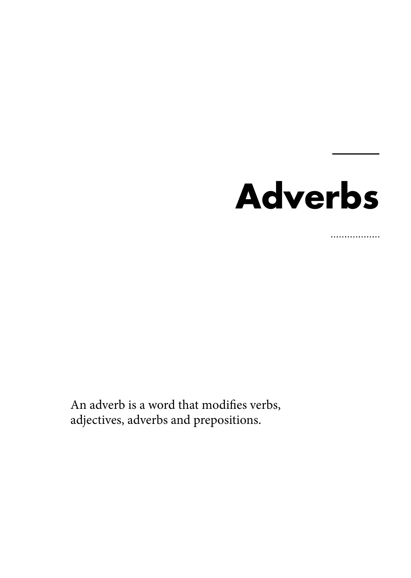## **Adverbs**

................

An adverb is a word that modifies verbs, adjectives, adverbs and prepositions.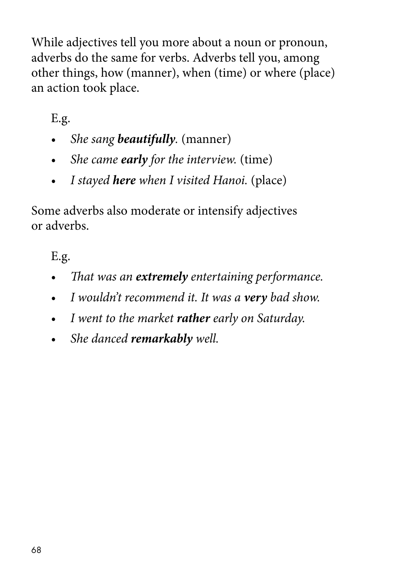While adjectives tell you more about a noun or pronoun, adverbs do the same for verbs. Adverbs tell you, among other things, how (manner), when (time) or where (place) an action took place.

E.g.

- *• She sang beautifully.* (manner)
- *• She came early for the interview.* (time)
- *• I stayed here when I visited Hanoi.* (place)

Some adverbs also moderate or intensify adjectives or adverbs.

- *• That was an extremely entertaining performance.*
- *• I wouldn't recommend it. It was a very bad show.*
- *• I went to the market rather early on Saturday.*
- *• She danced remarkably well.*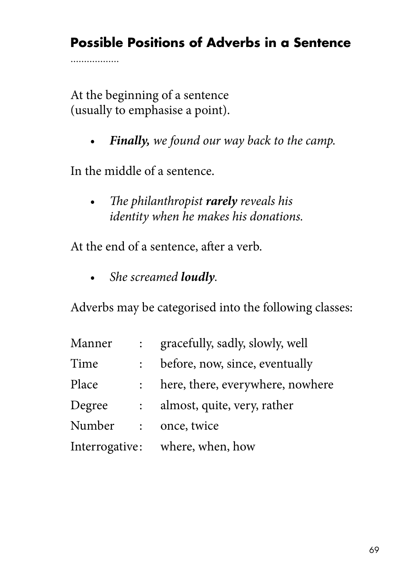## **Possible Positions of Adverbs in a Sentence**

At the beginning of a sentence (usually to emphasise a point).

. . . . . . . . . . . . . . . . .

*• Finally, we found our way back to the camp.*

In the middle of a sentence.

*• The philanthropist rarely reveals his identity when he makes his donations.*

At the end of a sentence, after a verb.

*• She screamed loudly.*

Adverbs may be categorised into the following classes:

| Manner | $\ddot{\cdot}$ | gracefully, sadly, slowly, well  |
|--------|----------------|----------------------------------|
| Time   |                | before, now, since, eventually   |
| Place  |                | here, there, everywhere, nowhere |
| Degree |                | almost, quite, very, rather      |
| Number | $\mathcal{L}$  | once, twice                      |
|        |                | Interrogative: where, when, how  |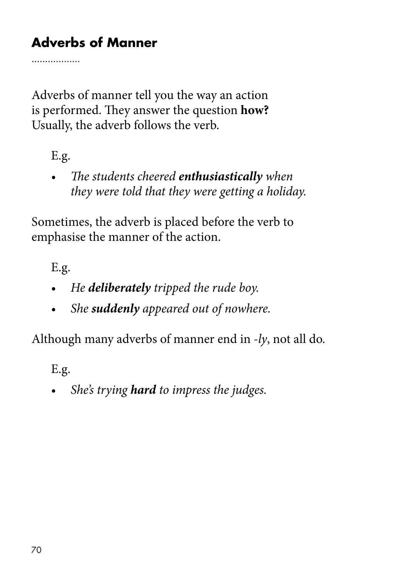## **Adverbs of Manner**

Adverbs of manner tell you the way an action is performed. They answer the question **how?** Usually, the adverb follows the verb.

E.g.

. . . . . . . . . . . . . . . . .

*• The students cheered enthusiastically when they were told that they were getting a holiday.*

Sometimes, the adverb is placed before the verb to emphasise the manner of the action.

E.g.

- *• He deliberately tripped the rude boy.*
- *• She suddenly appeared out of nowhere.*

Although many adverbs of manner end in *-ly*, not all do.

E.g.

*• She's trying hard to impress the judges.*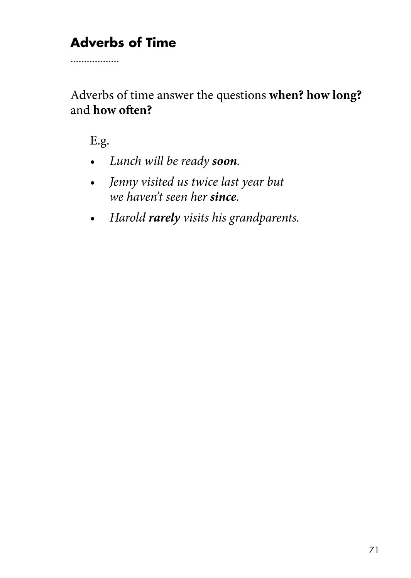## **Adverbs of Time**

. . . . . . . . . . . . . . . . .

Adverbs of time answer the questions **when? how long?** and **how often?** 

- *• Lunch will be ready soon.*
- *Jenny visited us twice last year but we haven't seen her since.*
- *• Harold rarely visits his grandparents.*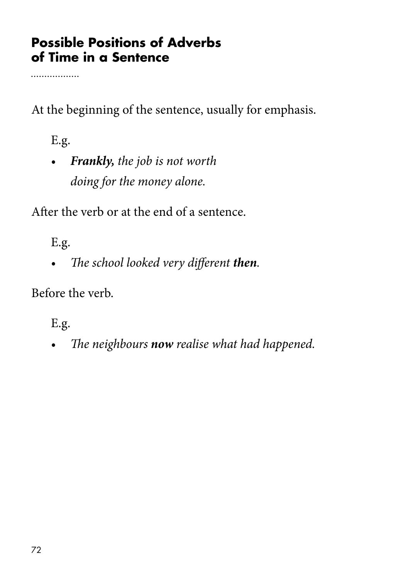#### **Possible Positions of Adverbs of Time in a Sentence**

. . . . . . . . . . . . . . . . .

At the beginning of the sentence, usually for emphasis.

E.g.

*• Frankly, the job is not worth doing for the money alone.*

After the verb or at the end of a sentence.

E.g.

*• The school looked very different then.*

Before the verb.

E.g.

*• The neighbours now realise what had happened.*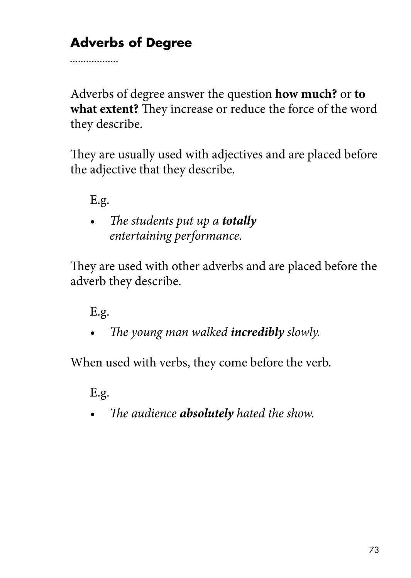## **Adverbs of Degree**

Adverbs of degree answer the question **how much?** or **to what extent?** They increase or reduce the force of the word they describe.

They are usually used with adjectives and are placed before the adjective that they describe.

E.g.

. . . . . . . . . . . . . . . . .

*• The students put up a totally entertaining performance.*

They are used with other adverbs and are placed before the adverb they describe.

E.g.

*• The young man walked incredibly slowly.*

When used with verbs, they come before the verb.

E.g.

*• The audience absolutely hated the show.*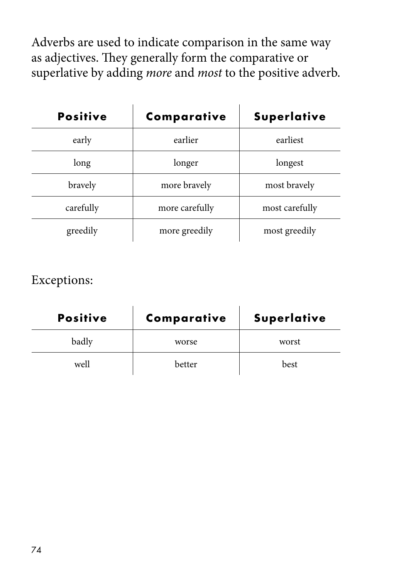Adverbs are used to indicate comparison in the same way as adjectives. They generally form the comparative or superlative by adding *more* and *most* to the positive adverb.

| <b>Positive</b> | Comparative    | <b>Superlative</b> |
|-----------------|----------------|--------------------|
| early           | earlier        | earliest           |
| long            | longer         | longest            |
| bravely         | more bravely   | most bravely       |
| carefully       | more carefully | most carefully     |
| greedily        | more greedily  | most greedily      |

#### Exceptions:

| <b>Positive</b> | Comparative | <b>Superlative</b> |
|-----------------|-------------|--------------------|
| badly           | worse       | worst              |
| well            | better      | best               |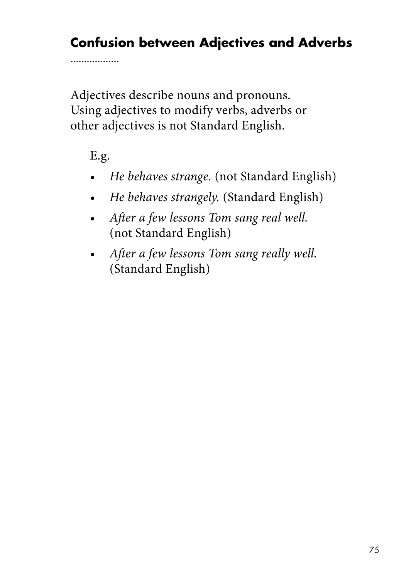## **Confusion between Adjectives and Adverbs**

Adjectives describe nouns and pronouns. Using adjectives to modify verbs, adverbs or other adjectives is not Standard English.

E.g.

. . . . . . . . . . . . . . . . .

- *• He behaves strange.* (not Standard English)
- *• He behaves strangely.* (Standard English)
- *After a few lessons Tom sang real well.*  (not Standard English)
- *After a few lessons Tom sang really well.* (Standard English)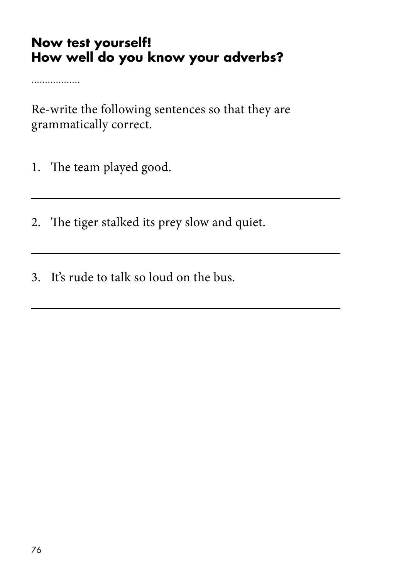#### **Now test yourself! How well do you know your adverbs?**

. . . . . . . . . . . . . . . . .

Re-write the following sentences so that they are grammatically correct.

- 1. The team played good.
- 2. The tiger stalked its prey slow and quiet.
- 3. It's rude to talk so loud on the bus.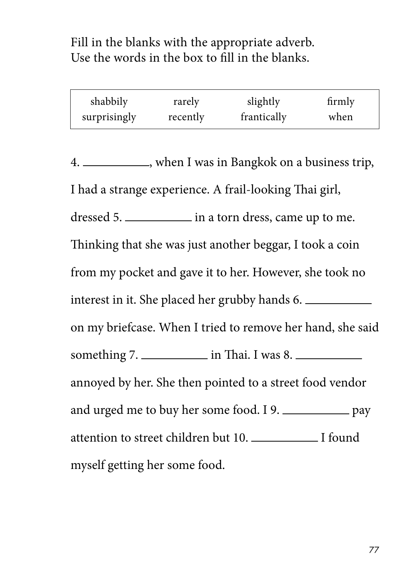Fill in the blanks with the appropriate adverb. Use the words in the box to fill in the blanks.

| shabbily     | rarely   | slightly    | firmly |
|--------------|----------|-------------|--------|
| surprisingly | recently | frantically | when   |

4. \_\_\_\_\_\_\_\_\_\_, when I was in Bangkok on a business trip, I had a strange experience. A frail-looking Thai girl, dressed 5. <u>in a torn dress</u>, came up to me. Thinking that she was just another beggar, I took a coin from my pocket and gave it to her. However, she took no interest in it. She placed her grubby hands 6. on my briefcase. When I tried to remove her hand, she said something  $7.$   $\qquad \qquad$  in Thai. I was 8. annoyed by her. She then pointed to a street food vendor and urged me to buy her some food. I 9. attention to street children but 10. I found myself getting her some food.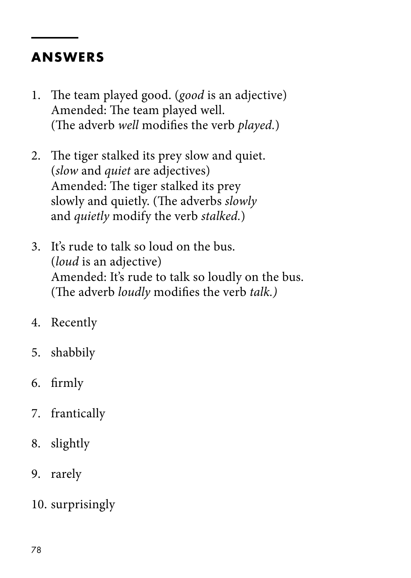#### **ANSWERS**

- 1. The team played good. (*good* is an adjective) Amended: The team played well. (The adverb *well* modifies the verb *played.*)
- 2. The tiger stalked its prey slow and quiet. (*slow* and *quiet* are adjectives) Amended: The tiger stalked its prey slowly and quietly. (The adverbs *slowly* and *quietly* modify the verb *stalked.*)
- 3. It's rude to talk so loud on the bus. (*loud* is an adjective) Amended: It's rude to talk so loudly on the bus. (The adverb *loudly* modifies the verb *talk.)*
- 4. Recently
- 5. shabbily
- 6. firmly
- 7. frantically
- 8. slightly
- 9. rarely
- 10. surprisingly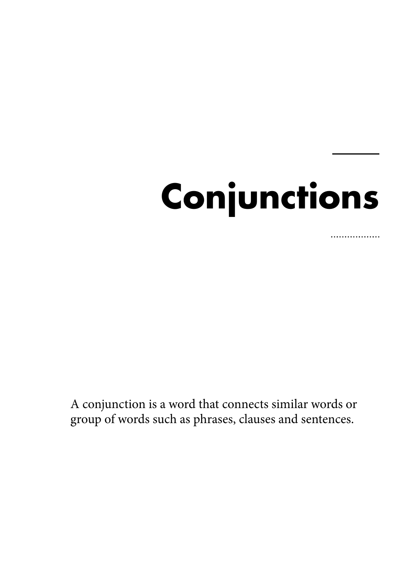# **Conjunctions**

. . . . . . . . . . . . . .

A conjunction is a word that connects similar words or group of words such as phrases, clauses and sentences.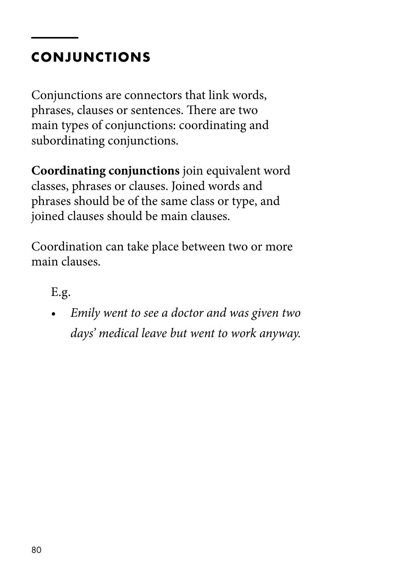## **CONJUNCTIONS**

Conjunctions are connectors that link words, phrases, clauses or sentences. There are two main types of conjunctions: coordinating and subordinating conjunctions.

**Coordinating conjunctions** join equivalent word classes, phrases or clauses. Joined words and phrases should be of the same class or type, and joined clauses should be main clauses.

Coordination can take place between two or more main clauses.

E.g.

*• Emily went to see a doctor and was given two days' medical leave but went to work anyway.*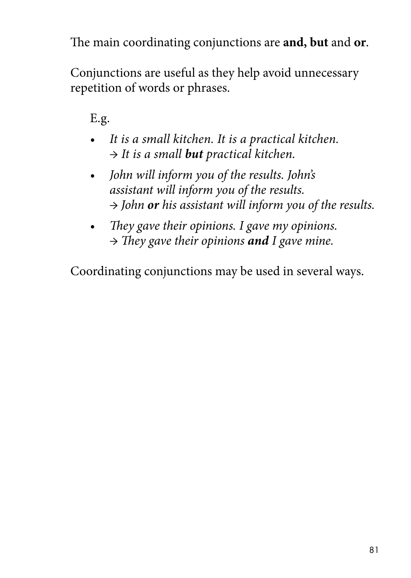The main coordinating conjunctions are **and, but** and **or**.

Conjunctions are useful as they help avoid unnecessary repetition of words or phrases.

E.g.

- *It is a small kitchen. It is a practical kitchen. → It is a small but practical kitchen.*
- *John will inform you of the results. John's assistant will inform you of the results. → John or his assistant will inform you of the results.*
- *They gave their opinions. I gave my opinions. → They gave their opinions and I gave mine.*

Coordinating conjunctions may be used in several ways.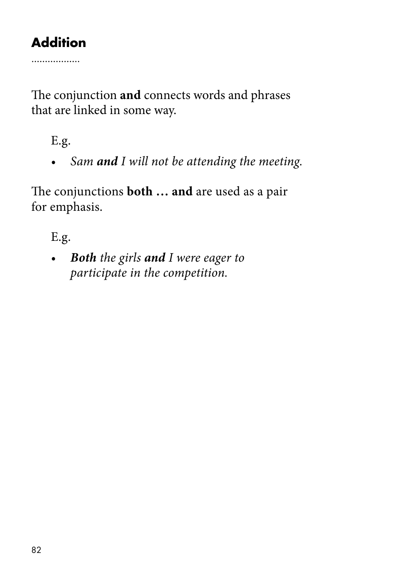## **Addition**

. . . . . . . . . . . . . . . . .

The conjunction **and** connects words and phrases that are linked in some way.

E.g.

*• Sam and I will not be attending the meeting.*

The conjunctions **both … and** are used as a pair for emphasis.

E.g.

*• Both the girls and I were eager to participate in the competition.*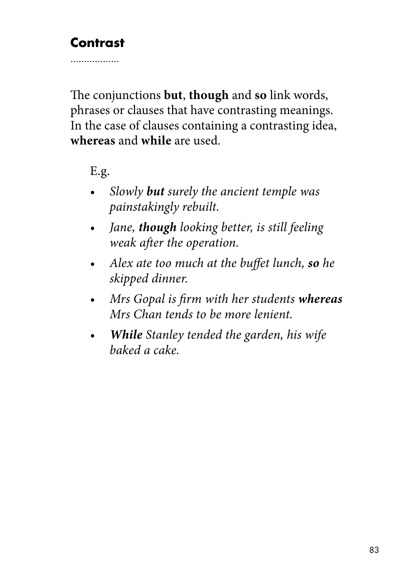#### **Contrast**

. . . . . . . . . . . . . . . . .

The conjunctions **but**, **though** and **so** link words, phrases or clauses that have contrasting meanings. In the case of clauses containing a contrasting idea, **whereas** and **while** are used.

E.g.

- *Slowly but surely the ancient temple was painstakingly rebuilt.*
- *Jane, though looking better, is still feeling weak after the operation.*
- *Alex ate too much at the buffet lunch, so he skipped dinner.*
- *Mrs Gopal is firm with her students whereas Mrs Chan tends to be more lenient.*
- *While Stanley tended the garden, his wife baked a cake.*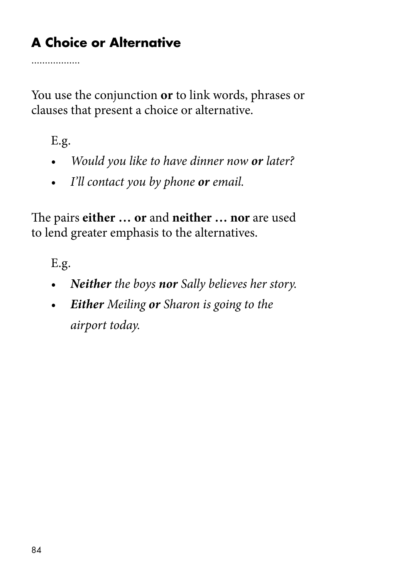## **A Choice or Alternative**

. . . . . . . . . . . . . . . . .

You use the conjunction **or** to link words, phrases or clauses that present a choice or alternative.

E.g.

- *• Would you like to have dinner now or later?*
- *• I'll contact you by phone or email.*

The pairs **either … or** and **neither … nor** are used to lend greater emphasis to the alternatives.

E.g.

- *• Neither the boys nor Sally believes her story.*
- *Either Meiling or Sharon is going to the airport today.*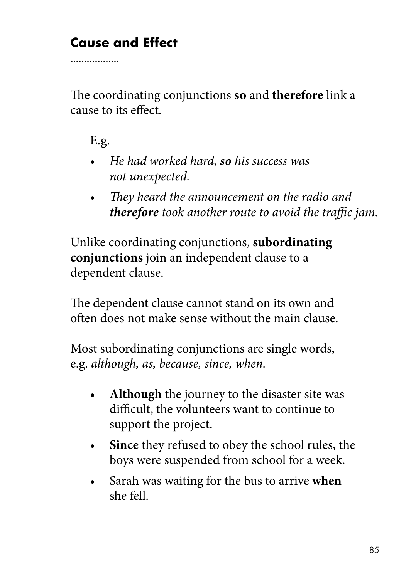## **Cause and Effect**

The coordinating conjunctions **so** and **therefore** link a cause to its effect.

E.g.

. . . . . . . . . . . . . . . . .

- *He had worked hard, so his success was not unexpected.*
- *• They heard the announcement on the radio and therefore took another route to avoid the traffic jam.*

Unlike coordinating conjunctions, **subordinating conjunctions** join an independent clause to a dependent clause.

The dependent clause cannot stand on its own and often does not make sense without the main clause.

Most subordinating conjunctions are single words, e.g. *although, as, because, since, when.* 

- Although the journey to the disaster site was difficult, the volunteers want to continue to support the project.
- **Since** they refused to obey the school rules, the boys were suspended from school for a week.
- Sarah was waiting for the bus to arrive **when** she fell.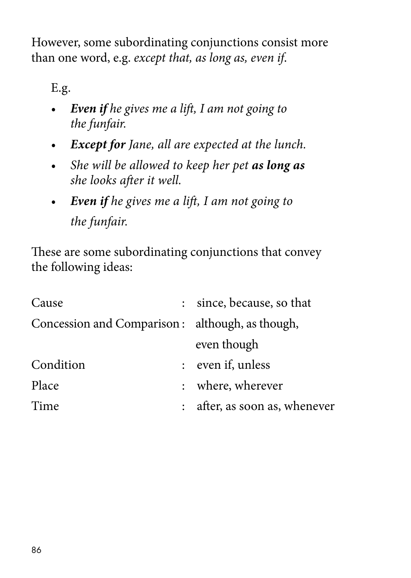However, some subordinating conjunctions consist more than one word, e.g. *except that, as long as, even if*.

E.g.

- *Even if he gives me a lift, I am not going to the funfair.*
- *• Except for Jane, all are expected at the lunch.*
- *• She will be allowed to keep her pet as long as she looks after it well.*
- *Even if he gives me a lift, I am not going to the funfair.*

These are some subordinating conjunctions that convey the following ideas:

| Cause                                           |               | since, because, so that     |
|-------------------------------------------------|---------------|-----------------------------|
| Concession and Comparison: although, as though, |               |                             |
|                                                 |               | even though                 |
| Condition                                       | $\mathcal{L}$ | even if, unless             |
| Place                                           |               | where, wherever             |
| Time                                            |               | after, as soon as, whenever |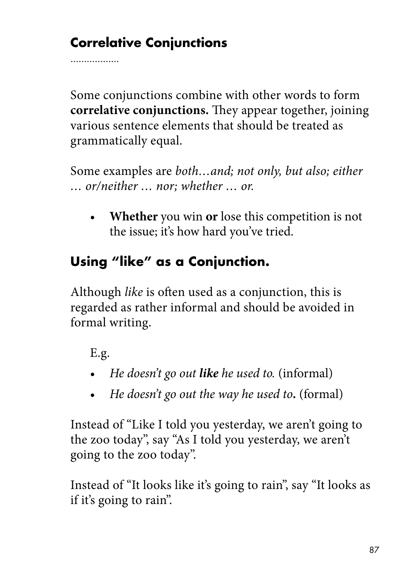## **Correlative Conjunctions**

. . . . . . . . . . . . . . . .

Some conjunctions combine with other words to form **correlative conjunctions.** They appear together, joining various sentence elements that should be treated as grammatically equal.

Some examples are *both…and; not only, but also; either … or/neither … nor; whether … or.*

• **Whether** you win **or** lose this competition is not the issue; it's how hard you've tried.

## **Using "like" as a Conjunction.**

Although *like* is often used as a conjunction, this is regarded as rather informal and should be avoided in formal writing.

E.g.

- *He doesn't go out like he used to.* (informal)
- *He doesn't go out the way he used to.* (formal)

Instead of "Like I told you yesterday, we aren't going to the zoo today", say "As I told you yesterday, we aren't going to the zoo today".

Instead of "It looks like it's going to rain", say "It looks as if it's going to rain".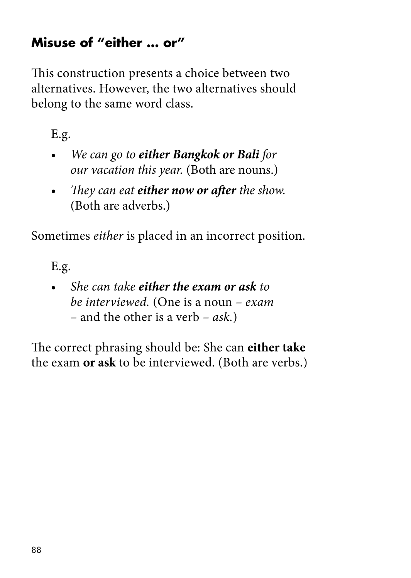#### **Misuse of "either … or"**

This construction presents a choice between two alternatives. However, the two alternatives should belong to the same word class.

E.g.

- *We can go to either Bangkok or Bali for our vacation this year.* (Both are nouns.)
- *They can eat either now or after the show.*  (Both are adverbs.)

Sometimes *either* is placed in an incorrect position.

E.g.

• *She can take either the exam or ask to be interviewed.* (One is a noun *– exam –* and the other is a verb *– ask.*)

The correct phrasing should be: She can **either take** the exam **or ask** to be interviewed. (Both are verbs.)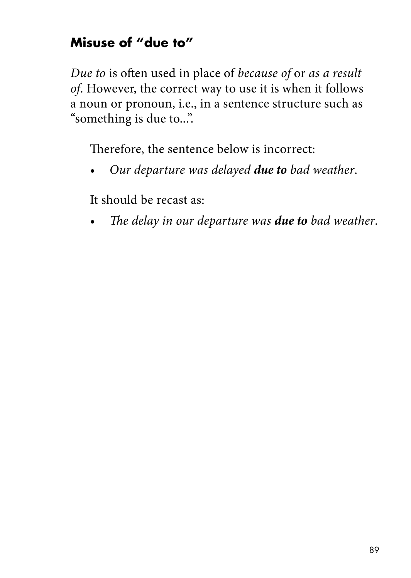#### **Misuse of "due to"**

*Due to* is often used in place of *because of* or *as a result of*. However, the correct way to use it is when it follows a noun or pronoun, i.e., in a sentence structure such as "something is due to...".

Therefore, the sentence below is incorrect:

• *Our departure was delayed due to bad weather*.

It should be recast as:

• *The delay in our departure was due to bad weather*.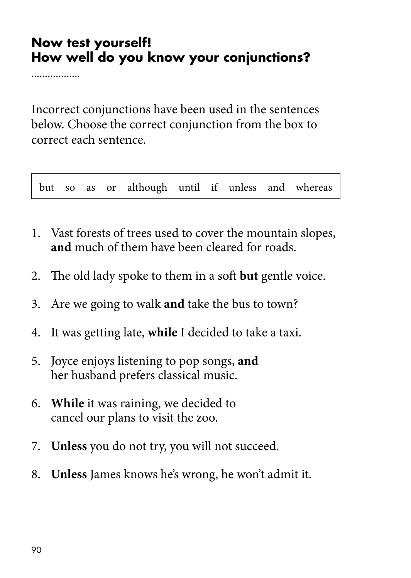#### **Now test yourself! How well do you know your conjunctions?**

. . . . . . . . . . . . . . . .

Incorrect conjunctions have been used in the sentences below. Choose the correct conjunction from the box to correct each sentence.

but so as or although until if unless and whereas

- 1. Vast forests of trees used to cover the mountain slopes, **and** much of them have been cleared for roads.
- 2. The old lady spoke to them in a soft **but** gentle voice.
- 3. Are we going to walk **and** take the bus to town?
- 4. It was getting late, **while** I decided to take a taxi.
- 5. Joyce enjoys listening to pop songs, **and** her husband prefers classical music.
- 6. **While** it was raining, we decided to cancel our plans to visit the zoo.
- 7. **Unless** you do not try, you will not succeed.
- 8. **Unless** James knows he's wrong, he won't admit it.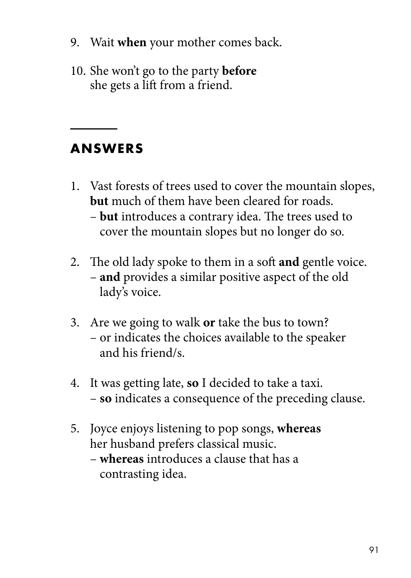- 9. Wait **when** your mother comes back.
- 10. She won't go to the party **before**  she gets a lift from a friend.

#### **ANSWERS**

- 1. Vast forests of trees used to cover the mountain slopes, **but** much of them have been cleared for roads. – **but** introduces a contrary idea. The trees used to
	- cover the mountain slopes but no longer do so.
- 2. The old lady spoke to them in a soft **and** gentle voice. – **and** provides a similar positive aspect of the old lady's voice.
- 3. Are we going to walk **or** take the bus to town? – or indicates the choices available to the speaker and his friend/s.
- 4. It was getting late, **so** I decided to take a taxi. – **so** indicates a consequence of the preceding clause.
- 5. Joyce enjoys listening to pop songs, **whereas** her husband prefers classical music.
	- **whereas** introduces a clause that has a contrasting idea.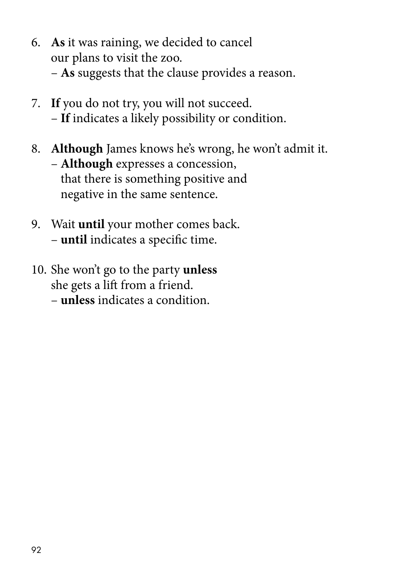- 6. **As** it was raining, we decided to cancel our plans to visit the zoo. – **As** suggests that the clause provides a reason.
- 7. **If** you do not try, you will not succeed. – **If** indicates a likely possibility or condition.
- 8. **Although** James knows he's wrong, he won't admit it. – **Although** expresses a concession, that there is something positive and negative in the same sentence.
- 9. Wait **until** your mother comes back. – **until** indicates a specific time.
- 10. She won't go to the party **unless** she gets a lift from a friend.
	- **unless** indicates a condition.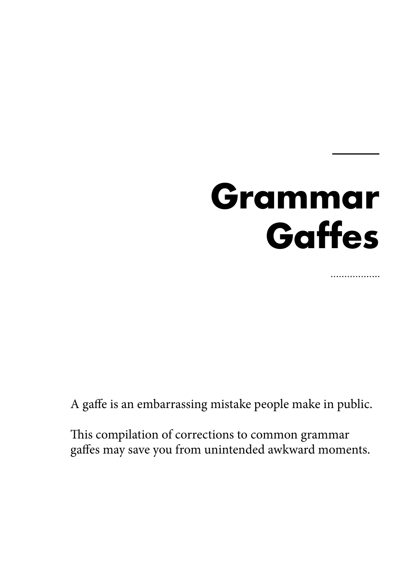## **Grammar Gaffes**

.................

A gaffe is an embarrassing mistake people make in public.

This compilation of corrections to common grammar gaffes may save you from unintended awkward moments.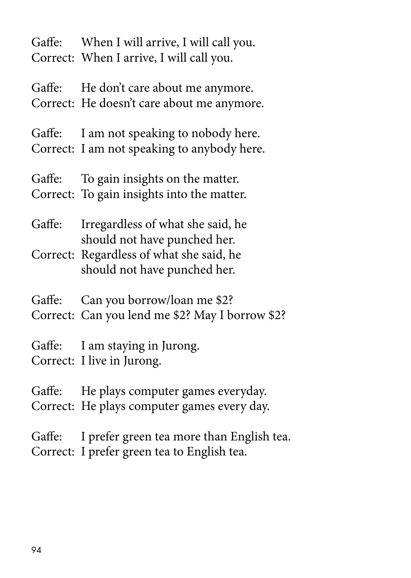Gaffe: When I will arrive, I will call you. Correct: When I arrive, I will call you.

Gaffe: He don't care about me anymore. Correct: He doesn't care about me anymore.

Gaffe: I am not speaking to nobody here. Correct: I am not speaking to anybody here.

Gaffe: To gain insights on the matter. Correct: To gain insights into the matter.

Gaffe: Irregardless of what she said, he should not have punched her.

Correct: Regardless of what she said, he should not have punched her.

Gaffe: Can you borrow/loan me \$2?

Correct: Can you lend me \$2? May I borrow \$2?

Gaffe: I am staying in Jurong. Correct: I live in Jurong.

Gaffe: He plays computer games everyday. Correct: He plays computer games every day.

Gaffe: I prefer green tea more than English tea. Correct: I prefer green tea to English tea.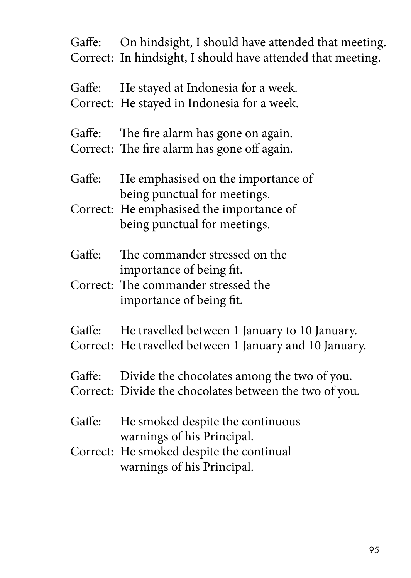Gaffe: On hindsight, I should have attended that meeting. Correct: In hindsight, I should have attended that meeting.

Gaffe: He stayed at Indonesia for a week. Correct: He stayed in Indonesia for a week.

Gaffe: The fire alarm has gone on again. Correct: The fire alarm has gone off again.

- Gaffe: He emphasised on the importance of being punctual for meetings.
- Correct: He emphasised the importance of being punctual for meetings.
- Gaffe: The commander stressed on the importance of being fit.
- Correct: The commander stressed the importance of being fit.
- Gaffe: He travelled between 1 January to 10 January. Correct: He travelled between 1 January and 10 January.
- Gaffe: Divide the chocolates among the two of you.
- Correct: Divide the chocolates between the two of you.
- Gaffe: He smoked despite the continuous warnings of his Principal.
- Correct: He smoked despite the continual warnings of his Principal.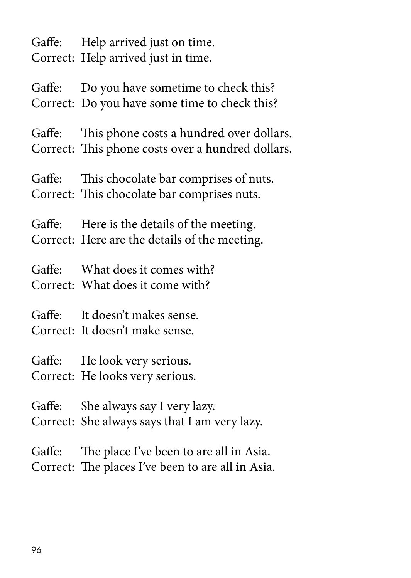Gaffe: Help arrived just on time. Correct: Help arrived just in time.

Gaffe: Do you have sometime to check this? Correct: Do you have some time to check this?

Gaffe: This phone costs a hundred over dollars. Correct: This phone costs over a hundred dollars.

Gaffe: This chocolate bar comprises of nuts. Correct: This chocolate bar comprises nuts.

Gaffe: Here is the details of the meeting. Correct: Here are the details of the meeting.

Gaffe: What does it comes with? Correct: What does it come with?

Gaffe: It doesn't makes sense.

Correct: It doesn't make sense.

Gaffe: He look very serious. Correct: He looks very serious.

Gaffe: She always say I very lazy. Correct: She always says that I am very lazy.

Gaffe: The place I've been to are all in Asia. Correct: The places I've been to are all in Asia.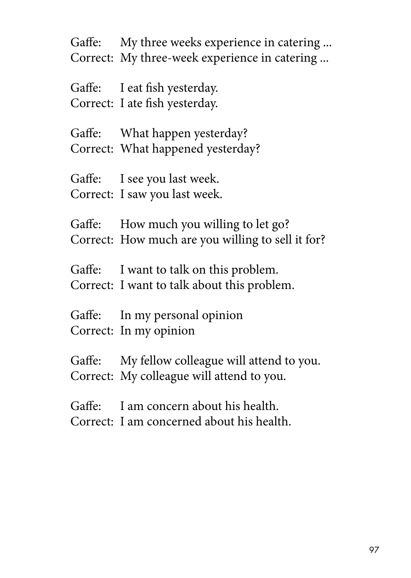Gaffe: My three weeks experience in catering ... Correct: My three-week experience in catering ...

Gaffe: I eat fish yesterday. Correct: I ate fish yesterday.

Gaffe: What happen yesterday? Correct: What happened yesterday?

Gaffe: I see you last week. Correct: I saw you last week.

Gaffe: How much you willing to let go? Correct: How much are you willing to sell it for?

Gaffe: I want to talk on this problem. Correct: I want to talk about this problem.

Gaffe: In my personal opinion Correct: In my opinion

Gaffe: My fellow colleague will attend to you. Correct: My colleague will attend to you.

Gaffe: I am concern about his health. Correct: I am concerned about his health.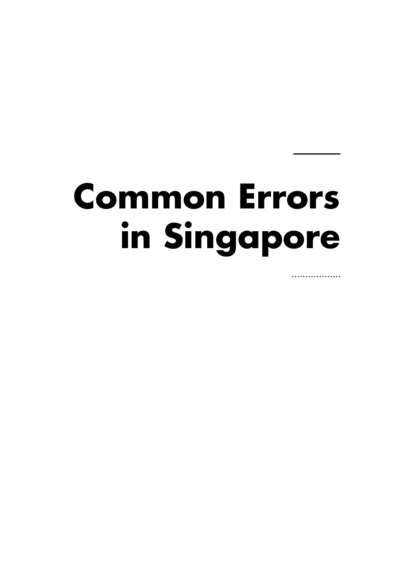## **Common Errors in Singapore**

.................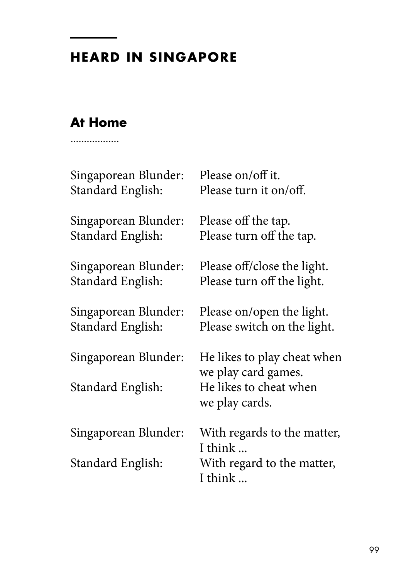#### **HEARD IN SINGAPORE**

#### **At Home**. . . . . . . . . . . . . . . .

Singaporean Blunder: Please on/off it. Standard English: Please turn it on/off. Singaporean Blunder: Please off the tap. Standard English: Please turn off the tap.

Singaporean Blunder: Please off/close the light. Standard English: Please turn off the light.

Singaporean Blunder: Please on/open the light. Standard English: Please switch on the light.

Singaporean Blunder: He likes to play cheat when we play card games. Standard English: He likes to cheat when we play cards.

Singaporean Blunder: With regards to the matter, I think ... Standard English: With regard to the matter, I think ...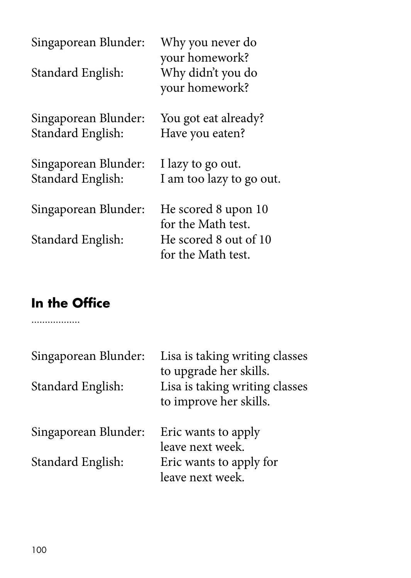| Why you never do<br>your homework?<br>Why didn't you do<br>your homework? |
|---------------------------------------------------------------------------|
| You got eat already?<br>Have you eaten?                                   |
| I lazy to go out.<br>I am too lazy to go out.                             |
| He scored 8 upon 10<br>for the Math test.<br>He scored 8 out of 10        |
| for the Math test.                                                        |
|                                                                           |

## **In the Office**

. . . . . . . . . . . . . . . .

| Singaporean Blunder:<br>Standard English: | Lisa is taking writing classes<br>to upgrade her skills.<br>Lisa is taking writing classes<br>to improve her skills. |
|-------------------------------------------|----------------------------------------------------------------------------------------------------------------------|
| Singaporean Blunder:                      | Eric wants to apply<br>leave next week.                                                                              |
| Standard English:                         | Eric wants to apply for<br>leave next week.                                                                          |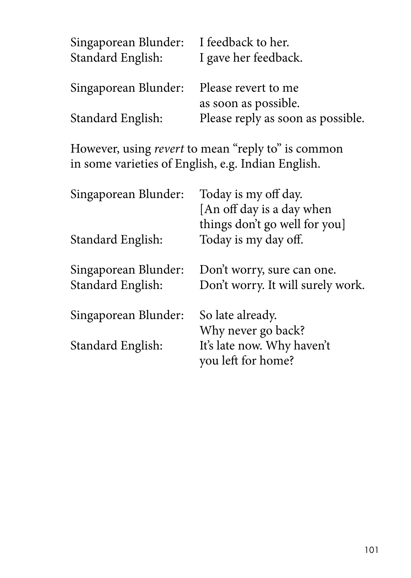| Singaporean Blunder:<br>Standard English: | I feedback to her.<br>I gave her feedback.  |
|-------------------------------------------|---------------------------------------------|
| Singaporean Blunder:                      | Please revert to me<br>as soon as possible. |
| Standard English:                         | Please reply as soon as possible.           |

However, using *revert* to mean "reply to" is common in some varieties of English, e.g. Indian English.

| Singaporean Blunder:                      | Today is my off day.<br>[An off day is a day when<br>things don't go well for you] |
|-------------------------------------------|------------------------------------------------------------------------------------|
| Standard English:                         | Today is my day off.                                                               |
| Singaporean Blunder:<br>Standard English: | Don't worry, sure can one.<br>Don't worry. It will surely work.                    |
| Singaporean Blunder:                      | So late already.<br>Why never go back?                                             |
| Standard English:                         | It's late now. Why haven't<br>you left for home?                                   |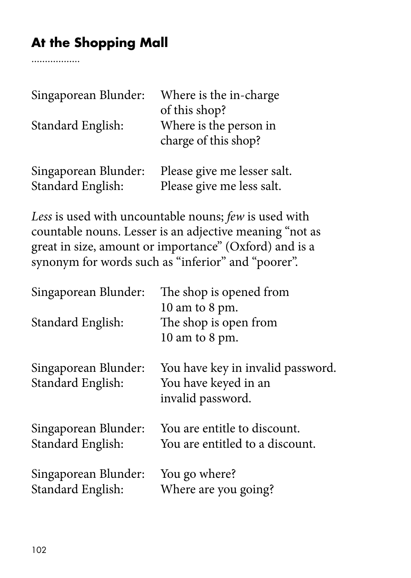## **At the Shopping Mall**

. . . . . . . . . . . . . . . . .

| Singaporean Blunder:<br>Standard English: | Where is the in-charge<br>of this shop?<br>Where is the person in<br>charge of this shop? |
|-------------------------------------------|-------------------------------------------------------------------------------------------|
| Singaporean Blunder:                      | Please give me lesser salt.                                                               |
| Standard English:                         | Please give me less salt.                                                                 |

*Less* is used with uncountable nouns; *few* is used with countable nouns. Lesser is an adjective meaning "not as great in size, amount or importance" (Oxford) and is a synonym for words such as "inferior" and "poorer".

| Singaporean Blunder:                      | The shop is opened from                                                        |
|-------------------------------------------|--------------------------------------------------------------------------------|
|                                           | 10 am to 8 pm.                                                                 |
| Standard English:                         | The shop is open from                                                          |
|                                           | 10 am to 8 pm.                                                                 |
| Singaporean Blunder:<br>Standard English: | You have key in invalid password.<br>You have keyed in an<br>invalid password. |
| Singaporean Blunder:<br>Standard English: | You are entitle to discount.<br>You are entitled to a discount.                |
| Singaporean Blunder:<br>Standard English: | You go where?<br>Where are you going?                                          |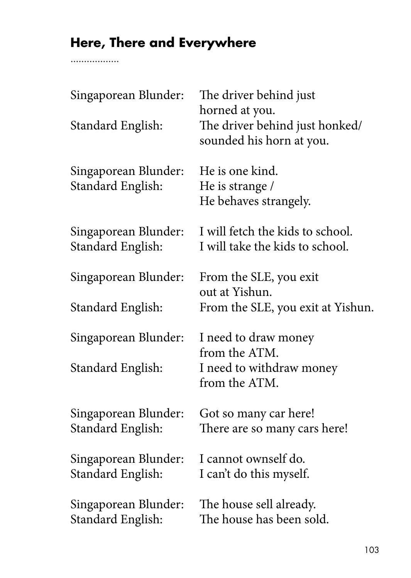## **Here, There and Everywhere**

. . . . . . . . . . . . . . . .

| Singaporean Blunder:                      | The driver behind just<br>horned at you.                            |
|-------------------------------------------|---------------------------------------------------------------------|
| Standard English:                         | The driver behind just honked/<br>sounded his horn at you.          |
| Singaporean Blunder:<br>Standard English: | He is one kind.<br>He is strange /<br>He behaves strangely.         |
| Singaporean Blunder:<br>Standard English: | I will fetch the kids to school.<br>I will take the kids to school. |
| Singaporean Blunder:                      | From the SLE, you exit<br>out at Yishun.                            |
| Standard English:                         | From the SLE, you exit at Yishun.                                   |
| Singaporean Blunder:                      | I need to draw money<br>from the ATM.                               |
| Standard English:                         | I need to withdraw money<br>from the ATM.                           |
| Singaporean Blunder:<br>Standard English: | Got so many car here!<br>There are so many cars here!               |
| Singaporean Blunder:<br>Standard English: | I cannot ownself do.<br>I can't do this myself.                     |
| Singaporean Blunder:<br>Standard English: | The house sell already.<br>The house has been sold.                 |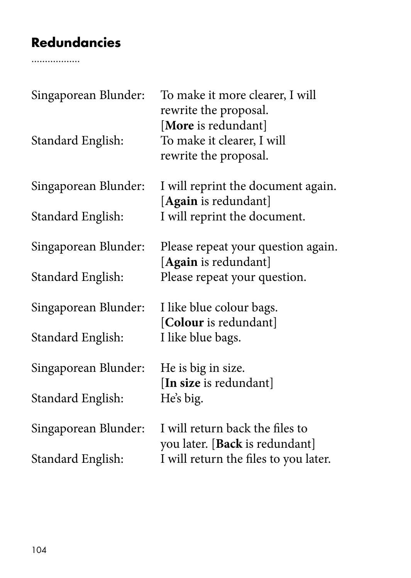## **Redundancies**

...............

| Singaporean Blunder: | To make it more clearer, I will<br>rewrite the proposal.                   |
|----------------------|----------------------------------------------------------------------------|
| Standard English:    | [More is redundant]<br>To make it clearer, I will<br>rewrite the proposal. |
| Singaporean Blunder: | I will reprint the document again.<br>[Again is redundant]                 |
| Standard English:    | I will reprint the document.                                               |
| Singaporean Blunder: | Please repeat your question again.                                         |
| Standard English:    | [Again is redundant]<br>Please repeat your question.                       |
| Singaporean Blunder: | I like blue colour bags.                                                   |
| Standard English:    | [Colour is redundant]<br>I like blue bags.                                 |
| Singaporean Blunder: | He is big in size.                                                         |
| Standard English:    | [In size is redundant]<br>He's big.                                        |
| Singaporean Blunder: | I will return back the files to<br>you later. [Back is redundant]          |
| Standard English:    | I will return the files to you later.                                      |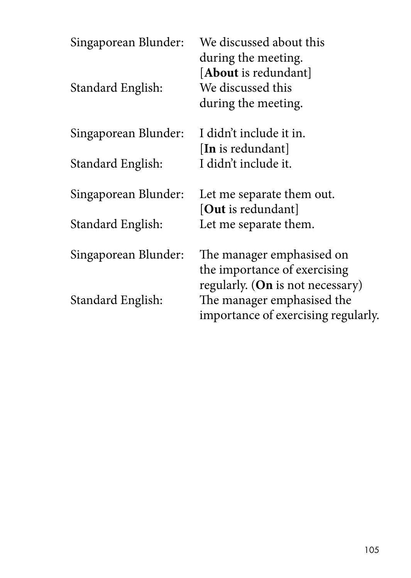| Singaporean Blunder:<br>Standard English: | We discussed about this<br>during the meeting.<br>[ <b>About</b> is redundant]<br>We discussed this<br>during the meeting. |
|-------------------------------------------|----------------------------------------------------------------------------------------------------------------------------|
| Singaporean Blunder:                      | I didn't include it in.                                                                                                    |
| Standard English:                         | [In is redundant]<br>I didn't include it.                                                                                  |
| Singaporean Blunder:                      | Let me separate them out.                                                                                                  |
| Standard English:                         | [ <b>Out</b> is redundant]<br>Let me separate them.                                                                        |
| Singaporean Blunder:                      | The manager emphasised on<br>the importance of exercising                                                                  |
| Standard English:                         | regularly. (On is not necessary)<br>The manager emphasised the<br>importance of exercising regularly.                      |